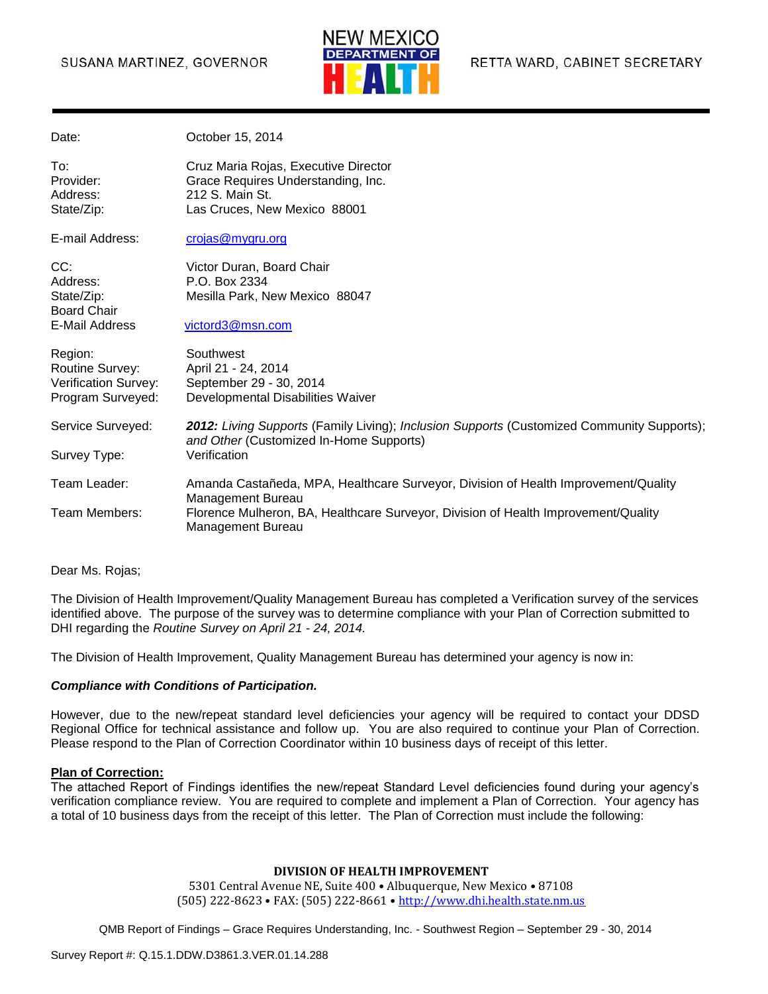#### SUSANA MARTINEZ, GOVERNOR



| Date:                                      | October 15, 2014                                                                                                                      |
|--------------------------------------------|---------------------------------------------------------------------------------------------------------------------------------------|
| To:<br>Provider:<br>Address:<br>State/Zip: | Cruz Maria Rojas, Executive Director<br>Grace Requires Understanding, Inc.<br>212 S. Main St.<br>Las Cruces, New Mexico 88001         |
| E-mail Address:                            | crojas@mygru.org                                                                                                                      |
|                                            |                                                                                                                                       |
| CC:                                        | Victor Duran, Board Chair                                                                                                             |
| Address:                                   | P.O. Box 2334                                                                                                                         |
| State/Zip:                                 | Mesilla Park, New Mexico 88047                                                                                                        |
| <b>Board Chair</b>                         |                                                                                                                                       |
| <b>E-Mail Address</b>                      | victord3@msn.com                                                                                                                      |
| Region:                                    | Southwest                                                                                                                             |
| Routine Survey:                            | April 21 - 24, 2014                                                                                                                   |
| Verification Survey:                       | September 29 - 30, 2014                                                                                                               |
| Program Surveyed:                          | Developmental Disabilities Waiver                                                                                                     |
| Service Surveyed:                          | 2012: Living Supports (Family Living); Inclusion Supports (Customized Community Supports);<br>and Other (Customized In-Home Supports) |
| Survey Type:                               | Verification                                                                                                                          |
| Team Leader:                               | Amanda Castañeda, MPA, Healthcare Surveyor, Division of Health Improvement/Quality<br><b>Management Bureau</b>                        |
| Team Members:                              | Florence Mulheron, BA, Healthcare Surveyor, Division of Health Improvement/Quality<br>Management Bureau                               |

Dear Ms. Rojas;

The Division of Health Improvement/Quality Management Bureau has completed a Verification survey of the services identified above. The purpose of the survey was to determine compliance with your Plan of Correction submitted to DHI regarding the *Routine Survey on April 21 - 24, 2014.*

The Division of Health Improvement, Quality Management Bureau has determined your agency is now in:

#### *Compliance with Conditions of Participation.*

However, due to the new/repeat standard level deficiencies your agency will be required to contact your DDSD Regional Office for technical assistance and follow up. You are also required to continue your Plan of Correction. Please respond to the Plan of Correction Coordinator within 10 business days of receipt of this letter.

#### **Plan of Correction:**

The attached Report of Findings identifies the new/repeat Standard Level deficiencies found during your agency's verification compliance review. You are required to complete and implement a Plan of Correction. Your agency has a total of 10 business days from the receipt of this letter. The Plan of Correction must include the following:

#### **DIVISION OF HEALTH IMPROVEMENT**

5301 Central Avenue NE, Suite 400 • Albuquerque, New Mexico • 87108 (505) 222-8623 • FAX: (505) 222-8661 • [http://www.dhi.health.state.nm.us](http://www.dhi.health.state.nm.us/)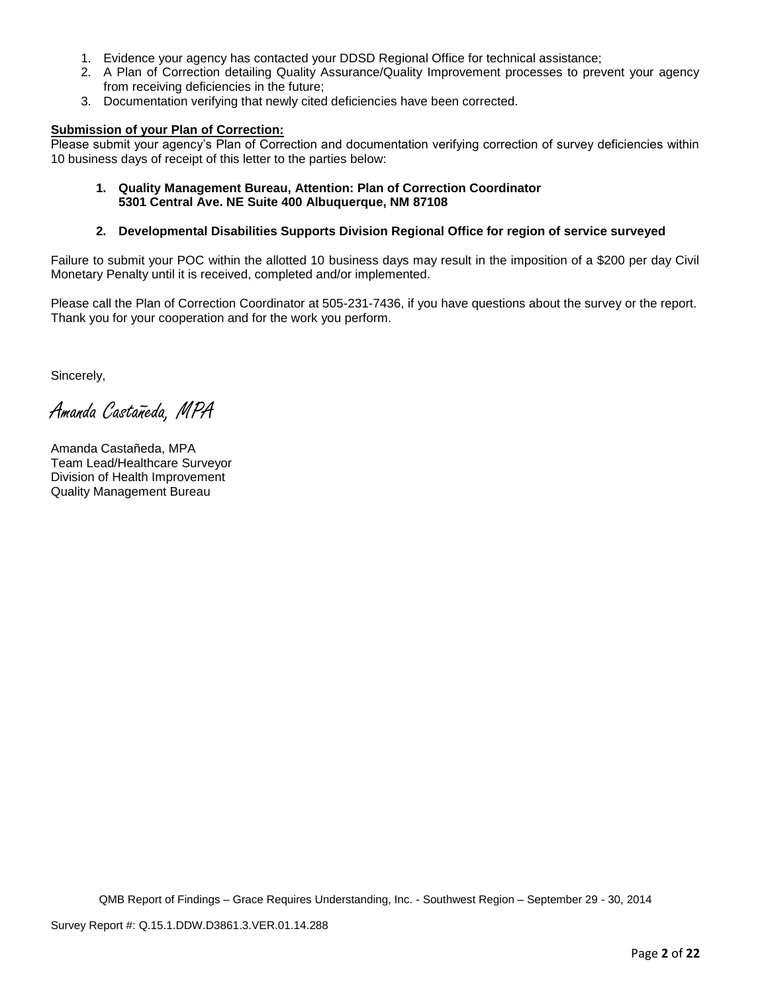- 1. Evidence your agency has contacted your DDSD Regional Office for technical assistance;
- 2. A Plan of Correction detailing Quality Assurance/Quality Improvement processes to prevent your agency from receiving deficiencies in the future;
- 3. Documentation verifying that newly cited deficiencies have been corrected.

#### **Submission of your Plan of Correction:**

Please submit your agency's Plan of Correction and documentation verifying correction of survey deficiencies within 10 business days of receipt of this letter to the parties below:

**1. Quality Management Bureau, Attention: Plan of Correction Coordinator 5301 Central Ave. NE Suite 400 Albuquerque, NM 87108**

#### **2. Developmental Disabilities Supports Division Regional Office for region of service surveyed**

Failure to submit your POC within the allotted 10 business days may result in the imposition of a \$200 per day Civil Monetary Penalty until it is received, completed and/or implemented.

Please call the Plan of Correction Coordinator at 505-231-7436, if you have questions about the survey or the report. Thank you for your cooperation and for the work you perform.

Sincerely,

Amanda Castañeda, MPA

Amanda Castañeda, MPA Team Lead/Healthcare Surveyor Division of Health Improvement Quality Management Bureau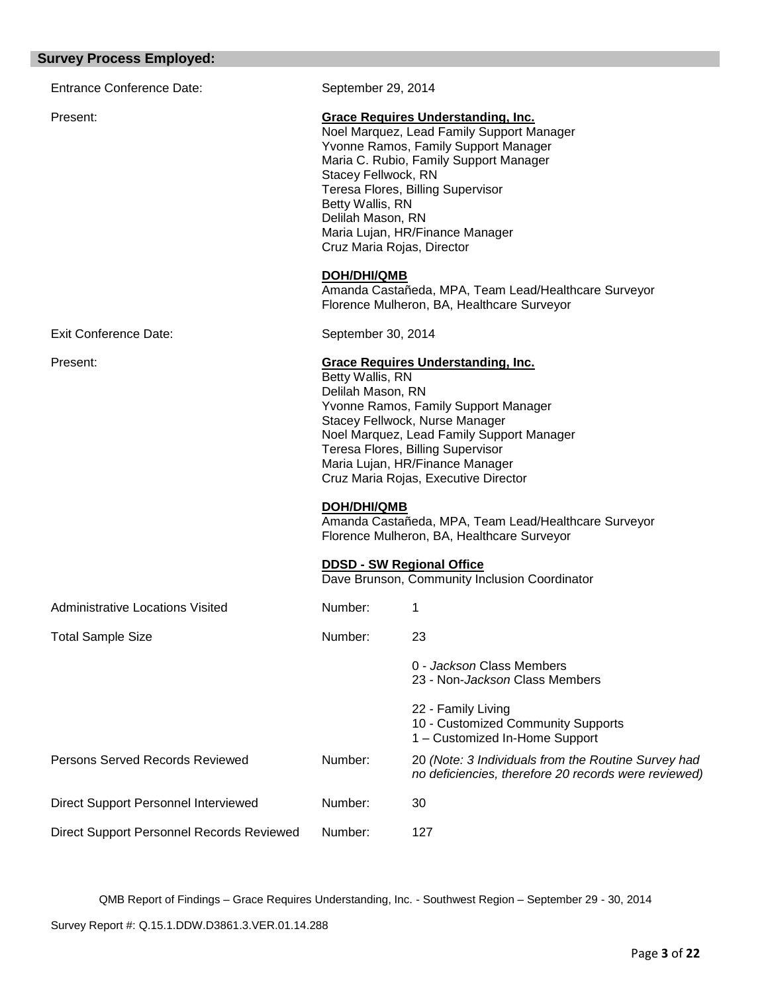| <b>Entrance Conference Date:</b>          | September 29, 2014                                                                                                                                                                                                                                                                                                                                                                                                                                                                                                                                               |                                                                                                                                                                 |
|-------------------------------------------|------------------------------------------------------------------------------------------------------------------------------------------------------------------------------------------------------------------------------------------------------------------------------------------------------------------------------------------------------------------------------------------------------------------------------------------------------------------------------------------------------------------------------------------------------------------|-----------------------------------------------------------------------------------------------------------------------------------------------------------------|
| Present:                                  | <b>Grace Requires Understanding, Inc.</b><br>Noel Marquez, Lead Family Support Manager<br>Yvonne Ramos, Family Support Manager<br>Maria C. Rubio, Family Support Manager<br>Stacey Fellwock, RN<br>Teresa Flores, Billing Supervisor<br>Betty Wallis, RN<br>Delilah Mason, RN<br>Maria Lujan, HR/Finance Manager<br>Cruz Maria Rojas, Director<br><b>DOH/DHI/QMB</b><br>Amanda Castañeda, MPA, Team Lead/Healthcare Surveyor                                                                                                                                     |                                                                                                                                                                 |
| Exit Conference Date:                     |                                                                                                                                                                                                                                                                                                                                                                                                                                                                                                                                                                  | Florence Mulheron, BA, Healthcare Surveyor                                                                                                                      |
| Present:                                  | September 30, 2014<br><b>Grace Requires Understanding, Inc.</b><br>Betty Wallis, RN<br>Delilah Mason, RN<br>Yvonne Ramos, Family Support Manager<br>Stacey Fellwock, Nurse Manager<br>Noel Marquez, Lead Family Support Manager<br>Teresa Flores, Billing Supervisor<br>Maria Lujan, HR/Finance Manager<br>Cruz Maria Rojas, Executive Director<br><b>DOH/DHI/QMB</b><br>Amanda Castañeda, MPA, Team Lead/Healthcare Surveyor<br>Florence Mulheron, BA, Healthcare Surveyor<br><b>DDSD - SW Regional Office</b><br>Dave Brunson, Community Inclusion Coordinator |                                                                                                                                                                 |
| <b>Administrative Locations Visited</b>   | Number:                                                                                                                                                                                                                                                                                                                                                                                                                                                                                                                                                          | 1                                                                                                                                                               |
| <b>Total Sample Size</b>                  | Number:                                                                                                                                                                                                                                                                                                                                                                                                                                                                                                                                                          | 23<br>0 - Jackson Class Members<br>23 - Non-Jackson Class Members<br>22 - Family Living<br>10 - Customized Community Supports<br>1 - Customized In-Home Support |
| Persons Served Records Reviewed           | Number:                                                                                                                                                                                                                                                                                                                                                                                                                                                                                                                                                          | 20 (Note: 3 Individuals from the Routine Survey had<br>no deficiencies, therefore 20 records were reviewed)                                                     |
| Direct Support Personnel Interviewed      | Number:                                                                                                                                                                                                                                                                                                                                                                                                                                                                                                                                                          | 30                                                                                                                                                              |
| Direct Support Personnel Records Reviewed | Number:                                                                                                                                                                                                                                                                                                                                                                                                                                                                                                                                                          | 127                                                                                                                                                             |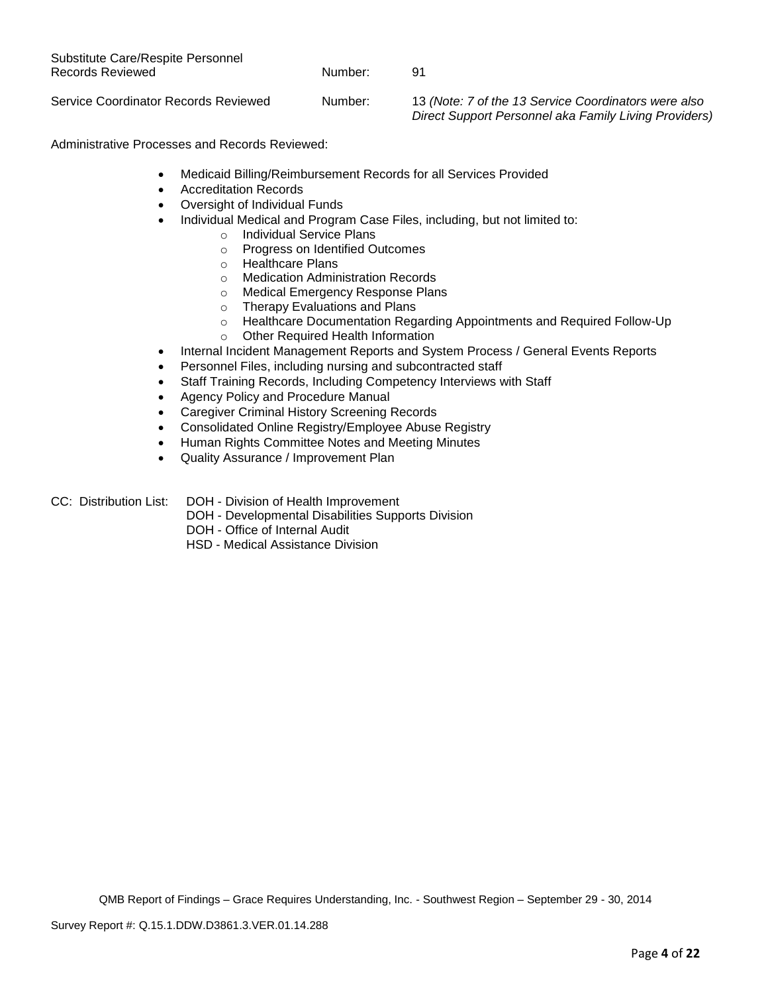| Substitute Care/Respite Personnel<br>Records Reviewed | Number: | 91                                                                                                            |
|-------------------------------------------------------|---------|---------------------------------------------------------------------------------------------------------------|
| Service Coordinator Records Reviewed                  | Number: | 13 (Note: 7 of the 13 Service Coordinators were also<br>Direct Support Personnel aka Family Living Providers) |

Administrative Processes and Records Reviewed:

- Medicaid Billing/Reimbursement Records for all Services Provided
- **Accreditation Records**
- Oversight of Individual Funds
- Individual Medical and Program Case Files, including, but not limited to:
	- o Individual Service Plans
	- o Progress on Identified Outcomes
	- o Healthcare Plans
	- o Medication Administration Records
	- o Medical Emergency Response Plans
	- o Therapy Evaluations and Plans
	- o Healthcare Documentation Regarding Appointments and Required Follow-Up
	- o Other Required Health Information
- Internal Incident Management Reports and System Process / General Events Reports
- Personnel Files, including nursing and subcontracted staff
- Staff Training Records, Including Competency Interviews with Staff
- Agency Policy and Procedure Manual
- Caregiver Criminal History Screening Records
- Consolidated Online Registry/Employee Abuse Registry
- Human Rights Committee Notes and Meeting Minutes
- Quality Assurance / Improvement Plan
- CC: Distribution List: DOH Division of Health Improvement
	- DOH Developmental Disabilities Supports Division
	- DOH Office of Internal Audit
	- HSD Medical Assistance Division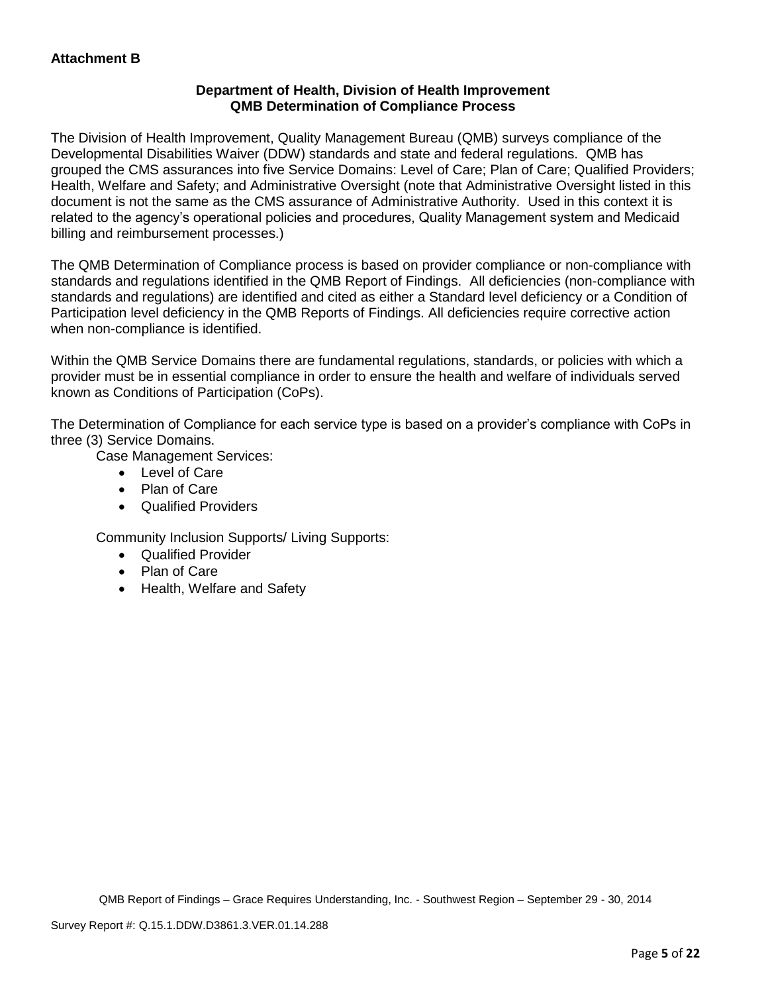# **Department of Health, Division of Health Improvement QMB Determination of Compliance Process**

The Division of Health Improvement, Quality Management Bureau (QMB) surveys compliance of the Developmental Disabilities Waiver (DDW) standards and state and federal regulations. QMB has grouped the CMS assurances into five Service Domains: Level of Care; Plan of Care; Qualified Providers; Health, Welfare and Safety; and Administrative Oversight (note that Administrative Oversight listed in this document is not the same as the CMS assurance of Administrative Authority. Used in this context it is related to the agency's operational policies and procedures, Quality Management system and Medicaid billing and reimbursement processes.)

The QMB Determination of Compliance process is based on provider compliance or non-compliance with standards and regulations identified in the QMB Report of Findings. All deficiencies (non-compliance with standards and regulations) are identified and cited as either a Standard level deficiency or a Condition of Participation level deficiency in the QMB Reports of Findings. All deficiencies require corrective action when non-compliance is identified.

Within the QMB Service Domains there are fundamental regulations, standards, or policies with which a provider must be in essential compliance in order to ensure the health and welfare of individuals served known as Conditions of Participation (CoPs).

The Determination of Compliance for each service type is based on a provider's compliance with CoPs in three (3) Service Domains.

Case Management Services:

- Level of Care
- Plan of Care
- Qualified Providers

Community Inclusion Supports/ Living Supports:

- Qualified Provider
- Plan of Care
- Health, Welfare and Safety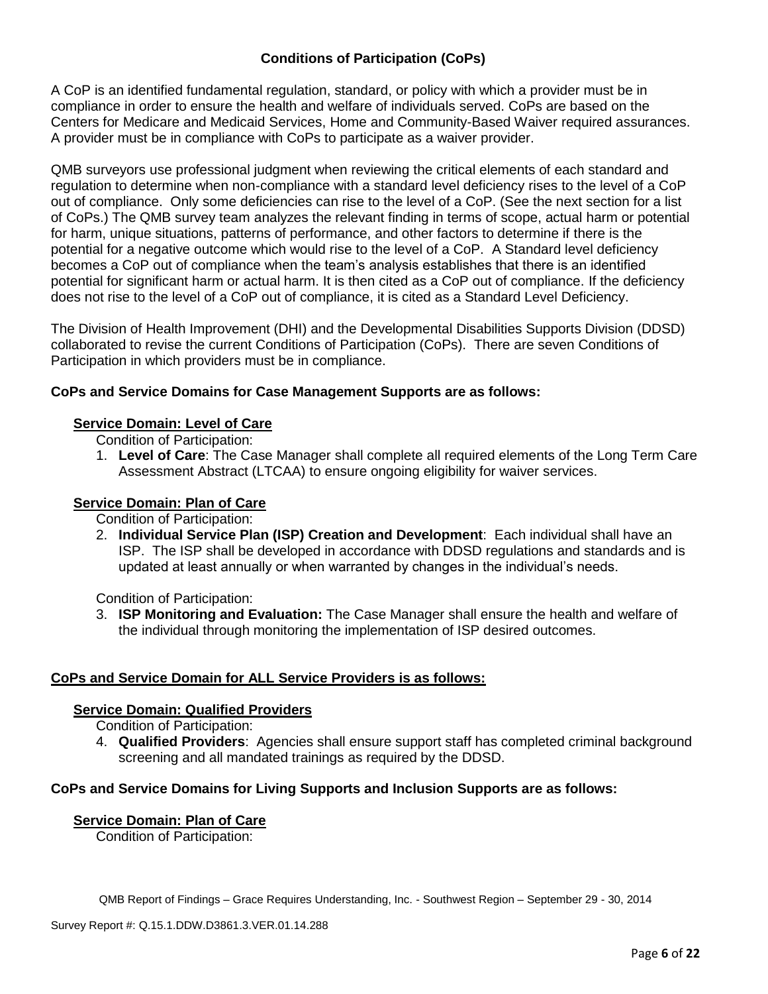# **Conditions of Participation (CoPs)**

A CoP is an identified fundamental regulation, standard, or policy with which a provider must be in compliance in order to ensure the health and welfare of individuals served. CoPs are based on the Centers for Medicare and Medicaid Services, Home and Community-Based Waiver required assurances. A provider must be in compliance with CoPs to participate as a waiver provider.

QMB surveyors use professional judgment when reviewing the critical elements of each standard and regulation to determine when non-compliance with a standard level deficiency rises to the level of a CoP out of compliance. Only some deficiencies can rise to the level of a CoP. (See the next section for a list of CoPs.) The QMB survey team analyzes the relevant finding in terms of scope, actual harm or potential for harm, unique situations, patterns of performance, and other factors to determine if there is the potential for a negative outcome which would rise to the level of a CoP. A Standard level deficiency becomes a CoP out of compliance when the team's analysis establishes that there is an identified potential for significant harm or actual harm. It is then cited as a CoP out of compliance. If the deficiency does not rise to the level of a CoP out of compliance, it is cited as a Standard Level Deficiency.

The Division of Health Improvement (DHI) and the Developmental Disabilities Supports Division (DDSD) collaborated to revise the current Conditions of Participation (CoPs). There are seven Conditions of Participation in which providers must be in compliance.

# **CoPs and Service Domains for Case Management Supports are as follows:**

# **Service Domain: Level of Care**

Condition of Participation:

1. **Level of Care**: The Case Manager shall complete all required elements of the Long Term Care Assessment Abstract (LTCAA) to ensure ongoing eligibility for waiver services.

# **Service Domain: Plan of Care**

Condition of Participation:

2. **Individual Service Plan (ISP) Creation and Development**: Each individual shall have an ISP. The ISP shall be developed in accordance with DDSD regulations and standards and is updated at least annually or when warranted by changes in the individual's needs.

Condition of Participation:

3. **ISP Monitoring and Evaluation:** The Case Manager shall ensure the health and welfare of the individual through monitoring the implementation of ISP desired outcomes.

# **CoPs and Service Domain for ALL Service Providers is as follows:**

# **Service Domain: Qualified Providers**

Condition of Participation:

4. **Qualified Providers**: Agencies shall ensure support staff has completed criminal background screening and all mandated trainings as required by the DDSD.

# **CoPs and Service Domains for Living Supports and Inclusion Supports are as follows:**

### **Service Domain: Plan of Care**

Condition of Participation: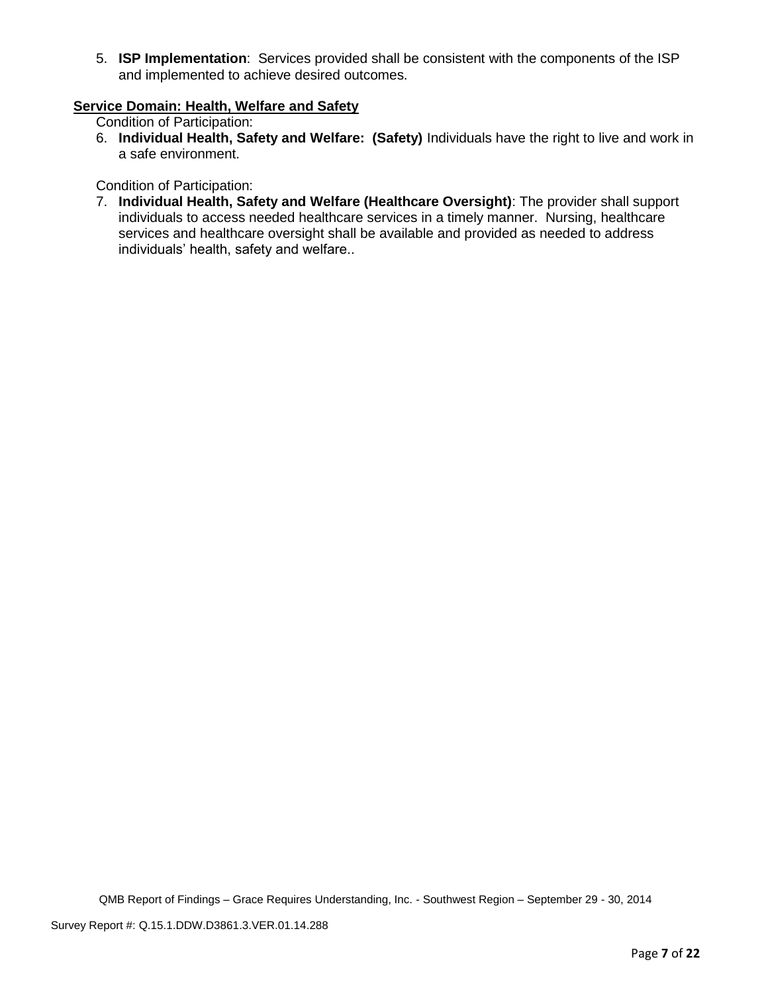5. **ISP Implementation**: Services provided shall be consistent with the components of the ISP and implemented to achieve desired outcomes.

# **Service Domain: Health, Welfare and Safety**

Condition of Participation:

6. **Individual Health, Safety and Welfare: (Safety)** Individuals have the right to live and work in a safe environment.

Condition of Participation:

7. **Individual Health, Safety and Welfare (Healthcare Oversight)**: The provider shall support individuals to access needed healthcare services in a timely manner. Nursing, healthcare services and healthcare oversight shall be available and provided as needed to address individuals' health, safety and welfare..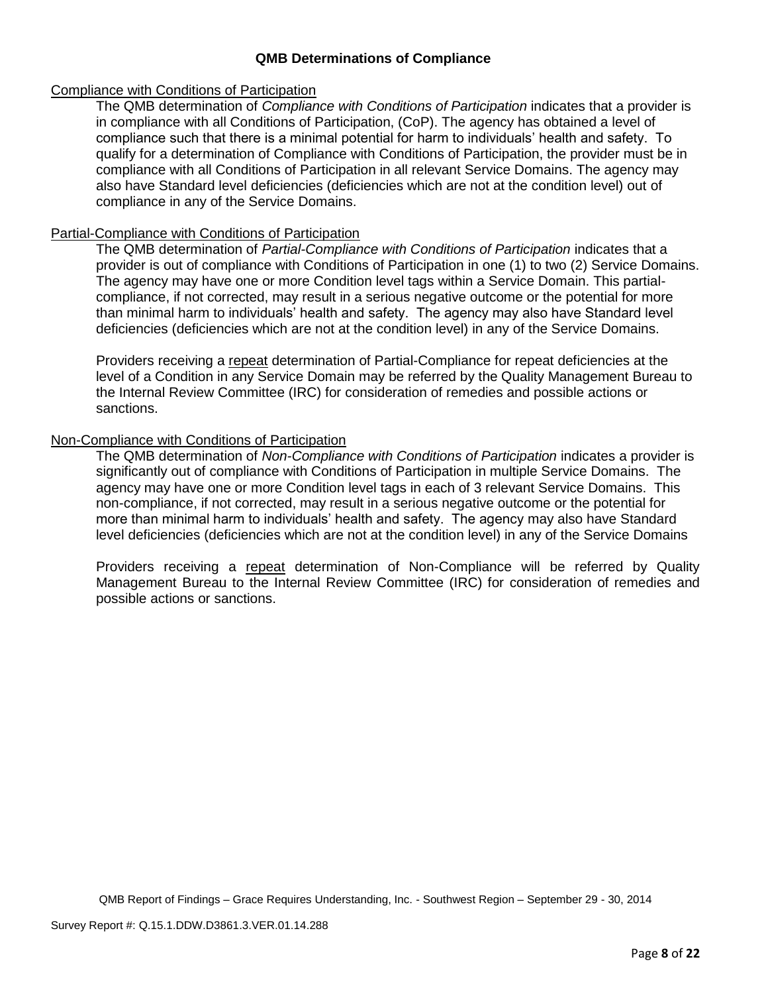## **QMB Determinations of Compliance**

### Compliance with Conditions of Participation

The QMB determination of *Compliance with Conditions of Participation* indicates that a provider is in compliance with all Conditions of Participation, (CoP). The agency has obtained a level of compliance such that there is a minimal potential for harm to individuals' health and safety. To qualify for a determination of Compliance with Conditions of Participation, the provider must be in compliance with all Conditions of Participation in all relevant Service Domains. The agency may also have Standard level deficiencies (deficiencies which are not at the condition level) out of compliance in any of the Service Domains.

### Partial-Compliance with Conditions of Participation

The QMB determination of *Partial-Compliance with Conditions of Participation* indicates that a provider is out of compliance with Conditions of Participation in one (1) to two (2) Service Domains. The agency may have one or more Condition level tags within a Service Domain. This partialcompliance, if not corrected, may result in a serious negative outcome or the potential for more than minimal harm to individuals' health and safety. The agency may also have Standard level deficiencies (deficiencies which are not at the condition level) in any of the Service Domains.

Providers receiving a repeat determination of Partial-Compliance for repeat deficiencies at the level of a Condition in any Service Domain may be referred by the Quality Management Bureau to the Internal Review Committee (IRC) for consideration of remedies and possible actions or sanctions.

## Non-Compliance with Conditions of Participation

The QMB determination of *Non-Compliance with Conditions of Participation* indicates a provider is significantly out of compliance with Conditions of Participation in multiple Service Domains. The agency may have one or more Condition level tags in each of 3 relevant Service Domains. This non-compliance, if not corrected, may result in a serious negative outcome or the potential for more than minimal harm to individuals' health and safety. The agency may also have Standard level deficiencies (deficiencies which are not at the condition level) in any of the Service Domains

Providers receiving a repeat determination of Non-Compliance will be referred by Quality Management Bureau to the Internal Review Committee (IRC) for consideration of remedies and possible actions or sanctions.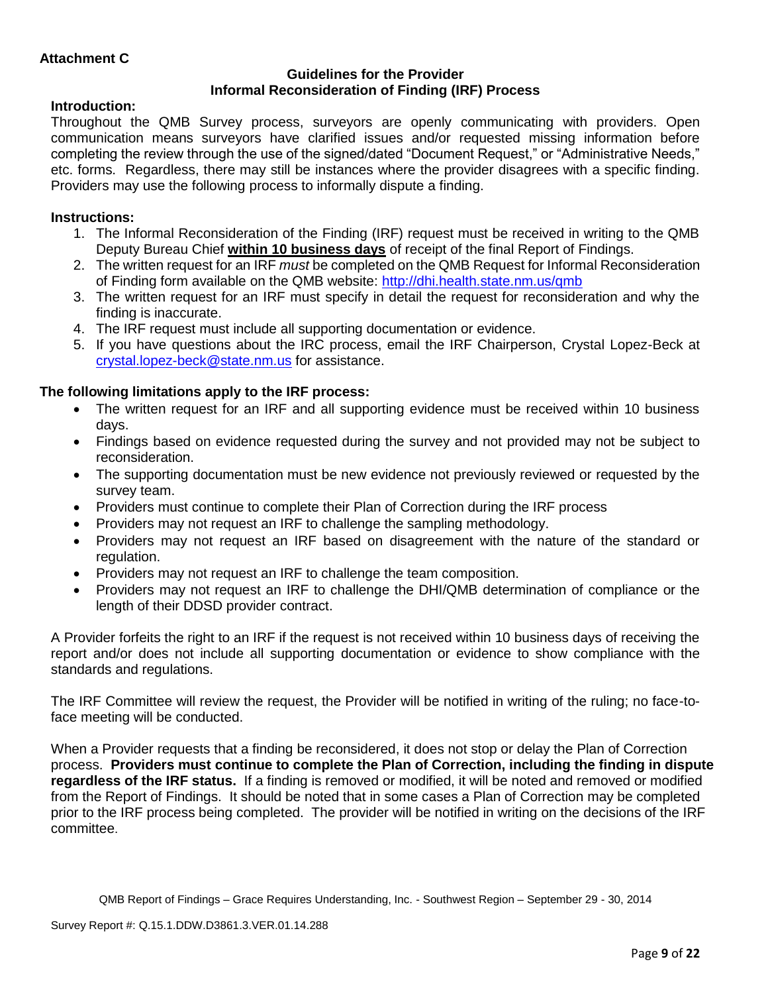## **Guidelines for the Provider Informal Reconsideration of Finding (IRF) Process**

# **Introduction:**

Throughout the QMB Survey process, surveyors are openly communicating with providers. Open communication means surveyors have clarified issues and/or requested missing information before completing the review through the use of the signed/dated "Document Request," or "Administrative Needs," etc. forms. Regardless, there may still be instances where the provider disagrees with a specific finding. Providers may use the following process to informally dispute a finding.

# **Instructions:**

- 1. The Informal Reconsideration of the Finding (IRF) request must be received in writing to the QMB Deputy Bureau Chief **within 10 business days** of receipt of the final Report of Findings.
- 2. The written request for an IRF *must* be completed on the QMB Request for Informal Reconsideration of Finding form available on the QMB website:<http://dhi.health.state.nm.us/qmb>
- 3. The written request for an IRF must specify in detail the request for reconsideration and why the finding is inaccurate.
- 4. The IRF request must include all supporting documentation or evidence.
- 5. If you have questions about the IRC process, email the IRF Chairperson, Crystal Lopez-Beck at [crystal.lopez-beck@state.nm.us](mailto:crystal.lopez-beck@state.nm.us) for assistance.

# **The following limitations apply to the IRF process:**

- The written request for an IRF and all supporting evidence must be received within 10 business days.
- Findings based on evidence requested during the survey and not provided may not be subject to reconsideration.
- The supporting documentation must be new evidence not previously reviewed or requested by the survey team.
- Providers must continue to complete their Plan of Correction during the IRF process
- Providers may not request an IRF to challenge the sampling methodology.
- Providers may not request an IRF based on disagreement with the nature of the standard or regulation.
- Providers may not request an IRF to challenge the team composition.
- Providers may not request an IRF to challenge the DHI/QMB determination of compliance or the length of their DDSD provider contract.

A Provider forfeits the right to an IRF if the request is not received within 10 business days of receiving the report and/or does not include all supporting documentation or evidence to show compliance with the standards and regulations.

The IRF Committee will review the request, the Provider will be notified in writing of the ruling; no face-toface meeting will be conducted.

When a Provider requests that a finding be reconsidered, it does not stop or delay the Plan of Correction process. **Providers must continue to complete the Plan of Correction, including the finding in dispute regardless of the IRF status.** If a finding is removed or modified, it will be noted and removed or modified from the Report of Findings. It should be noted that in some cases a Plan of Correction may be completed prior to the IRF process being completed. The provider will be notified in writing on the decisions of the IRF committee.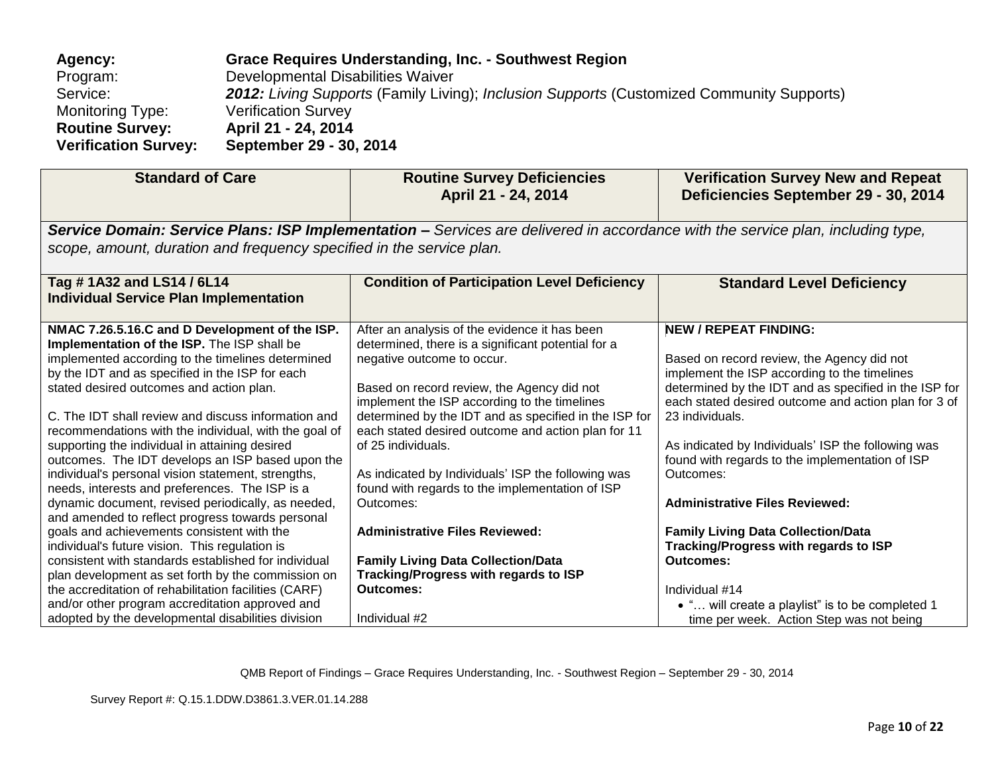| Agency:                     | Grace Requires Understanding, Inc. - Southwest Region                                     |
|-----------------------------|-------------------------------------------------------------------------------------------|
| Program:                    | Developmental Disabilities Waiver                                                         |
| Service:                    | 2012: Living Supports (Family Living); Inclusion Supports (Customized Community Supports) |
| <b>Monitoring Type:</b>     | <b>Verification Survey</b>                                                                |
| <b>Routine Survey:</b>      | April 21 - 24, 2014                                                                       |
| <b>Verification Survey:</b> | September 29 - 30, 2014                                                                   |

| <b>Standard of Care</b>                                                                                                                                                                                                                                                                                                                                                                                                                                                                                                                                                                                                                                                                                                                                                                                                                                                                                                                                                                                                                                                   | <b>Routine Survey Deficiencies</b><br>April 21 - 24, 2014                                                                                                                                                                                                                                                                                                                                                                                                                                                                                                                                                                                                      | <b>Verification Survey New and Repeat</b><br>Deficiencies September 29 - 30, 2014                                                                                                                                                                                                                                                                                                                                                                                                                                                                                                                                                                         |
|---------------------------------------------------------------------------------------------------------------------------------------------------------------------------------------------------------------------------------------------------------------------------------------------------------------------------------------------------------------------------------------------------------------------------------------------------------------------------------------------------------------------------------------------------------------------------------------------------------------------------------------------------------------------------------------------------------------------------------------------------------------------------------------------------------------------------------------------------------------------------------------------------------------------------------------------------------------------------------------------------------------------------------------------------------------------------|----------------------------------------------------------------------------------------------------------------------------------------------------------------------------------------------------------------------------------------------------------------------------------------------------------------------------------------------------------------------------------------------------------------------------------------------------------------------------------------------------------------------------------------------------------------------------------------------------------------------------------------------------------------|-----------------------------------------------------------------------------------------------------------------------------------------------------------------------------------------------------------------------------------------------------------------------------------------------------------------------------------------------------------------------------------------------------------------------------------------------------------------------------------------------------------------------------------------------------------------------------------------------------------------------------------------------------------|
|                                                                                                                                                                                                                                                                                                                                                                                                                                                                                                                                                                                                                                                                                                                                                                                                                                                                                                                                                                                                                                                                           | Service Domain: Service Plans: ISP Implementation – Services are delivered in accordance with the service plan, including type,                                                                                                                                                                                                                                                                                                                                                                                                                                                                                                                                |                                                                                                                                                                                                                                                                                                                                                                                                                                                                                                                                                                                                                                                           |
| scope, amount, duration and frequency specified in the service plan.                                                                                                                                                                                                                                                                                                                                                                                                                                                                                                                                                                                                                                                                                                                                                                                                                                                                                                                                                                                                      |                                                                                                                                                                                                                                                                                                                                                                                                                                                                                                                                                                                                                                                                |                                                                                                                                                                                                                                                                                                                                                                                                                                                                                                                                                                                                                                                           |
| Tag # 1A32 and LS14 / 6L14<br><b>Individual Service Plan Implementation</b>                                                                                                                                                                                                                                                                                                                                                                                                                                                                                                                                                                                                                                                                                                                                                                                                                                                                                                                                                                                               | <b>Condition of Participation Level Deficiency</b>                                                                                                                                                                                                                                                                                                                                                                                                                                                                                                                                                                                                             | <b>Standard Level Deficiency</b>                                                                                                                                                                                                                                                                                                                                                                                                                                                                                                                                                                                                                          |
| NMAC 7.26.5.16.C and D Development of the ISP.<br>Implementation of the ISP. The ISP shall be<br>implemented according to the timelines determined<br>by the IDT and as specified in the ISP for each<br>stated desired outcomes and action plan.<br>C. The IDT shall review and discuss information and<br>recommendations with the individual, with the goal of<br>supporting the individual in attaining desired<br>outcomes. The IDT develops an ISP based upon the<br>individual's personal vision statement, strengths,<br>needs, interests and preferences. The ISP is a<br>dynamic document, revised periodically, as needed,<br>and amended to reflect progress towards personal<br>goals and achievements consistent with the<br>individual's future vision. This regulation is<br>consistent with standards established for individual<br>plan development as set forth by the commission on<br>the accreditation of rehabilitation facilities (CARF)<br>and/or other program accreditation approved and<br>adopted by the developmental disabilities division | After an analysis of the evidence it has been<br>determined, there is a significant potential for a<br>negative outcome to occur.<br>Based on record review, the Agency did not<br>implement the ISP according to the timelines<br>determined by the IDT and as specified in the ISP for<br>each stated desired outcome and action plan for 11<br>of 25 individuals.<br>As indicated by Individuals' ISP the following was<br>found with regards to the implementation of ISP<br>Outcomes:<br><b>Administrative Files Reviewed:</b><br><b>Family Living Data Collection/Data</b><br>Tracking/Progress with regards to ISP<br><b>Outcomes:</b><br>Individual #2 | <b>NEW / REPEAT FINDING:</b><br>Based on record review, the Agency did not<br>implement the ISP according to the timelines<br>determined by the IDT and as specified in the ISP for<br>each stated desired outcome and action plan for 3 of<br>23 individuals.<br>As indicated by Individuals' ISP the following was<br>found with regards to the implementation of ISP<br>Outcomes:<br><b>Administrative Files Reviewed:</b><br><b>Family Living Data Collection/Data</b><br><b>Tracking/Progress with regards to ISP</b><br>Outcomes:<br>Individual #14<br>• " will create a playlist" is to be completed 1<br>time per week. Action Step was not being |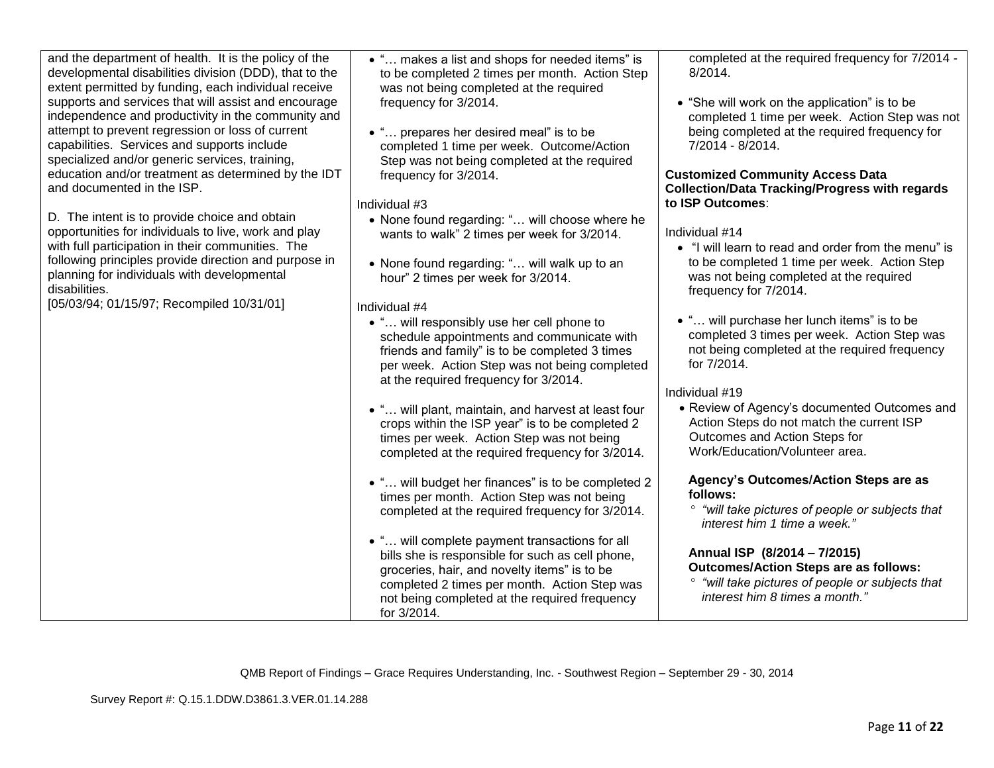| and the department of health. It is the policy of the<br>developmental disabilities division (DDD), that to the<br>extent permitted by funding, each individual receive<br>supports and services that will assist and encourage<br>independence and productivity in the community and<br>attempt to prevent regression or loss of current<br>capabilities. Services and supports include<br>specialized and/or generic services, training,<br>education and/or treatment as determined by the IDT<br>and documented in the ISP.<br>D. The intent is to provide choice and obtain<br>opportunities for individuals to live, work and play<br>with full participation in their communities. The<br>following principles provide direction and purpose in<br>planning for individuals with developmental<br>disabilities.<br>[05/03/94; 01/15/97; Recompiled 10/31/01] | • " makes a list and shops for needed items" is<br>to be completed 2 times per month. Action Step<br>was not being completed at the required<br>frequency for 3/2014.<br>• " prepares her desired meal" is to be<br>completed 1 time per week. Outcome/Action<br>Step was not being completed at the required<br>frequency for 3/2014.<br>Individual #3<br>• None found regarding: " will choose where he<br>wants to walk" 2 times per week for 3/2014.<br>• None found regarding: " will walk up to an<br>hour" 2 times per week for 3/2014.<br>Individual #4<br>• " will responsibly use her cell phone to<br>schedule appointments and communicate with<br>friends and family" is to be completed 3 times<br>per week. Action Step was not being completed<br>at the required frequency for 3/2014.<br>• " will plant, maintain, and harvest at least four<br>crops within the ISP year" is to be completed 2<br>times per week. Action Step was not being<br>completed at the required frequency for 3/2014.<br>• " will budget her finances" is to be completed 2<br>times per month. Action Step was not being<br>completed at the required frequency for 3/2014.<br>• " will complete payment transactions for all<br>bills she is responsible for such as cell phone,<br>groceries, hair, and novelty items" is to be<br>completed 2 times per month. Action Step was<br>not being completed at the required frequency<br>for 3/2014. | completed at the required frequency for 7/2014 -<br>$8/2014$ .<br>• "She will work on the application" is to be<br>completed 1 time per week. Action Step was not<br>being completed at the required frequency for<br>7/2014 - 8/2014.<br><b>Customized Community Access Data</b><br><b>Collection/Data Tracking/Progress with regards</b><br>to ISP Outcomes:<br>Individual #14<br>• "I will learn to read and order from the menu" is<br>to be completed 1 time per week. Action Step<br>was not being completed at the required<br>frequency for 7/2014.<br>• " will purchase her lunch items" is to be<br>completed 3 times per week. Action Step was<br>not being completed at the required frequency<br>for 7/2014.<br>Individual #19<br>• Review of Agency's documented Outcomes and<br>Action Steps do not match the current ISP<br>Outcomes and Action Steps for<br>Work/Education/Volunteer area.<br>Agency's Outcomes/Action Steps are as<br>follows:<br>° "will take pictures of people or subjects that<br>interest him 1 time a week."<br>Annual ISP (8/2014 - 7/2015)<br><b>Outcomes/Action Steps are as follows:</b><br>° "will take pictures of people or subjects that<br>interest him 8 times a month." |
|---------------------------------------------------------------------------------------------------------------------------------------------------------------------------------------------------------------------------------------------------------------------------------------------------------------------------------------------------------------------------------------------------------------------------------------------------------------------------------------------------------------------------------------------------------------------------------------------------------------------------------------------------------------------------------------------------------------------------------------------------------------------------------------------------------------------------------------------------------------------|------------------------------------------------------------------------------------------------------------------------------------------------------------------------------------------------------------------------------------------------------------------------------------------------------------------------------------------------------------------------------------------------------------------------------------------------------------------------------------------------------------------------------------------------------------------------------------------------------------------------------------------------------------------------------------------------------------------------------------------------------------------------------------------------------------------------------------------------------------------------------------------------------------------------------------------------------------------------------------------------------------------------------------------------------------------------------------------------------------------------------------------------------------------------------------------------------------------------------------------------------------------------------------------------------------------------------------------------------------------------------------------------------------------------------------------------|----------------------------------------------------------------------------------------------------------------------------------------------------------------------------------------------------------------------------------------------------------------------------------------------------------------------------------------------------------------------------------------------------------------------------------------------------------------------------------------------------------------------------------------------------------------------------------------------------------------------------------------------------------------------------------------------------------------------------------------------------------------------------------------------------------------------------------------------------------------------------------------------------------------------------------------------------------------------------------------------------------------------------------------------------------------------------------------------------------------------------------------------------------------------------------------------------------------------------|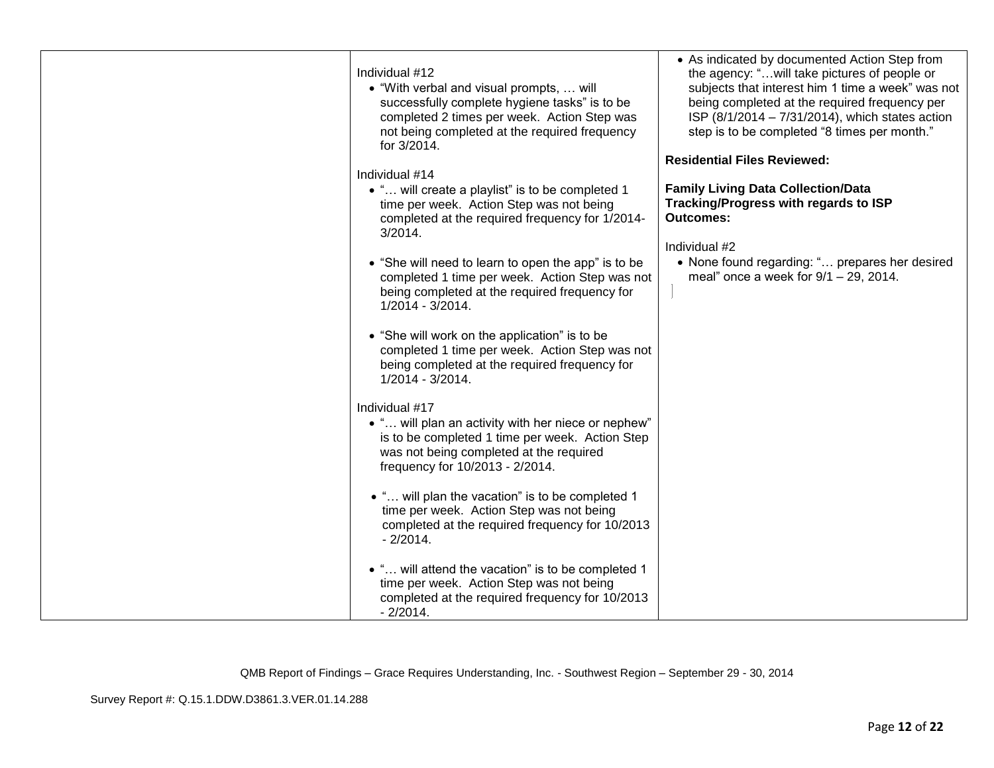| Individual #12<br>• "With verbal and visual prompts,  will<br>successfully complete hygiene tasks" is to be<br>completed 2 times per week. Action Step was<br>not being completed at the required frequency<br>for 3/2014.<br>Individual #14 | • As indicated by documented Action Step from<br>the agency: " will take pictures of people or<br>subjects that interest him 1 time a week" was not<br>being completed at the required frequency per<br>ISP (8/1/2014 - 7/31/2014), which states action<br>step is to be completed "8 times per month."<br><b>Residential Files Reviewed:</b> |
|----------------------------------------------------------------------------------------------------------------------------------------------------------------------------------------------------------------------------------------------|-----------------------------------------------------------------------------------------------------------------------------------------------------------------------------------------------------------------------------------------------------------------------------------------------------------------------------------------------|
| • " will create a playlist" is to be completed 1<br>time per week. Action Step was not being<br>completed at the required frequency for 1/2014-<br>$3/2014$ .                                                                                | <b>Family Living Data Collection/Data</b><br>Tracking/Progress with regards to ISP<br><b>Outcomes:</b>                                                                                                                                                                                                                                        |
|                                                                                                                                                                                                                                              | Individual #2                                                                                                                                                                                                                                                                                                                                 |
| • "She will need to learn to open the app" is to be<br>completed 1 time per week. Action Step was not<br>being completed at the required frequency for<br>1/2014 - 3/2014.                                                                   | • None found regarding: " prepares her desired<br>meal" once a week for $9/1 - 29$ , 2014.                                                                                                                                                                                                                                                    |
| • "She will work on the application" is to be<br>completed 1 time per week. Action Step was not<br>being completed at the required frequency for<br>1/2014 - 3/2014.                                                                         |                                                                                                                                                                                                                                                                                                                                               |
| Individual #17<br>• " will plan an activity with her niece or nephew"<br>is to be completed 1 time per week. Action Step<br>was not being completed at the required<br>frequency for 10/2013 - 2/2014.                                       |                                                                                                                                                                                                                                                                                                                                               |
| • " will plan the vacation" is to be completed 1<br>time per week. Action Step was not being<br>completed at the required frequency for 10/2013<br>$-2/2014.$                                                                                |                                                                                                                                                                                                                                                                                                                                               |
| • " will attend the vacation" is to be completed 1<br>time per week. Action Step was not being<br>completed at the required frequency for 10/2013<br>$-2/2014.$                                                                              |                                                                                                                                                                                                                                                                                                                                               |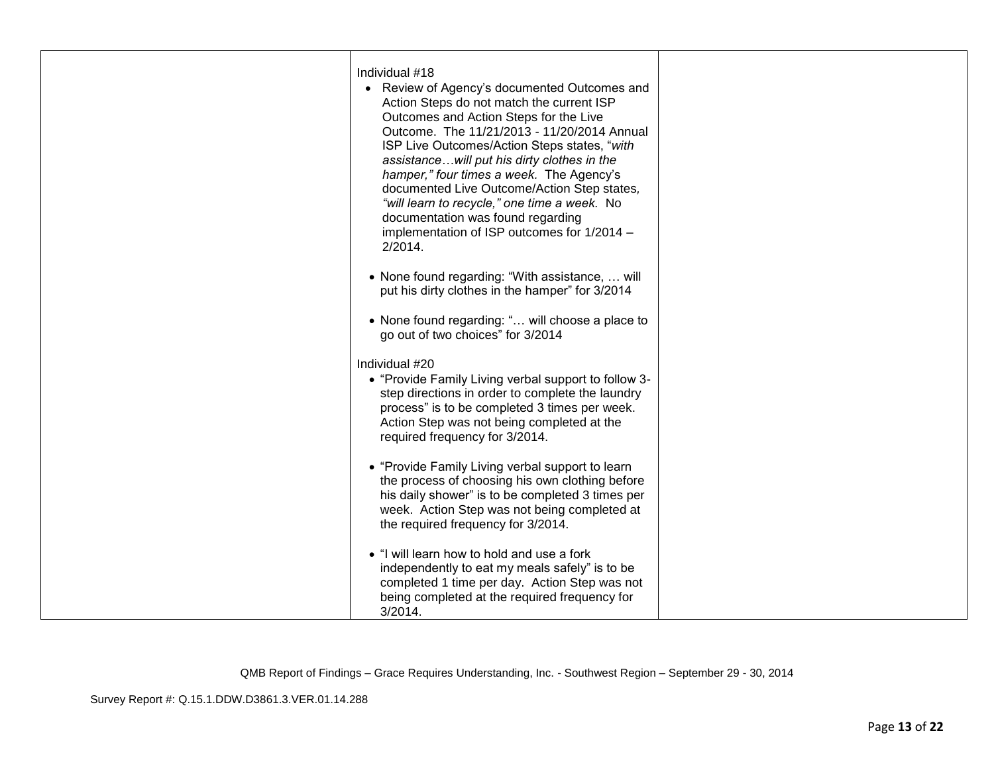| Individual #18<br>• Review of Agency's documented Outcomes and<br>Action Steps do not match the current ISP<br>Outcomes and Action Steps for the Live<br>Outcome. The 11/21/2013 - 11/20/2014 Annual<br>ISP Live Outcomes/Action Steps states, "with<br>assistancewill put his dirty clothes in the<br>hamper," four times a week. The Agency's<br>documented Live Outcome/Action Step states,<br>"will learn to recycle," one time a week. No<br>documentation was found regarding<br>implementation of ISP outcomes for 1/2014 -<br>2/2014. |  |
|-----------------------------------------------------------------------------------------------------------------------------------------------------------------------------------------------------------------------------------------------------------------------------------------------------------------------------------------------------------------------------------------------------------------------------------------------------------------------------------------------------------------------------------------------|--|
| • None found regarding: "With assistance,  will<br>put his dirty clothes in the hamper" for 3/2014                                                                                                                                                                                                                                                                                                                                                                                                                                            |  |
| • None found regarding: " will choose a place to<br>go out of two choices" for 3/2014                                                                                                                                                                                                                                                                                                                                                                                                                                                         |  |
| Individual #20<br>• "Provide Family Living verbal support to follow 3-<br>step directions in order to complete the laundry<br>process" is to be completed 3 times per week.<br>Action Step was not being completed at the<br>required frequency for 3/2014.                                                                                                                                                                                                                                                                                   |  |
| • "Provide Family Living verbal support to learn<br>the process of choosing his own clothing before<br>his daily shower" is to be completed 3 times per<br>week. Action Step was not being completed at<br>the required frequency for 3/2014.                                                                                                                                                                                                                                                                                                 |  |
| • "I will learn how to hold and use a fork<br>independently to eat my meals safely" is to be<br>completed 1 time per day. Action Step was not<br>being completed at the required frequency for<br>3/2014.                                                                                                                                                                                                                                                                                                                                     |  |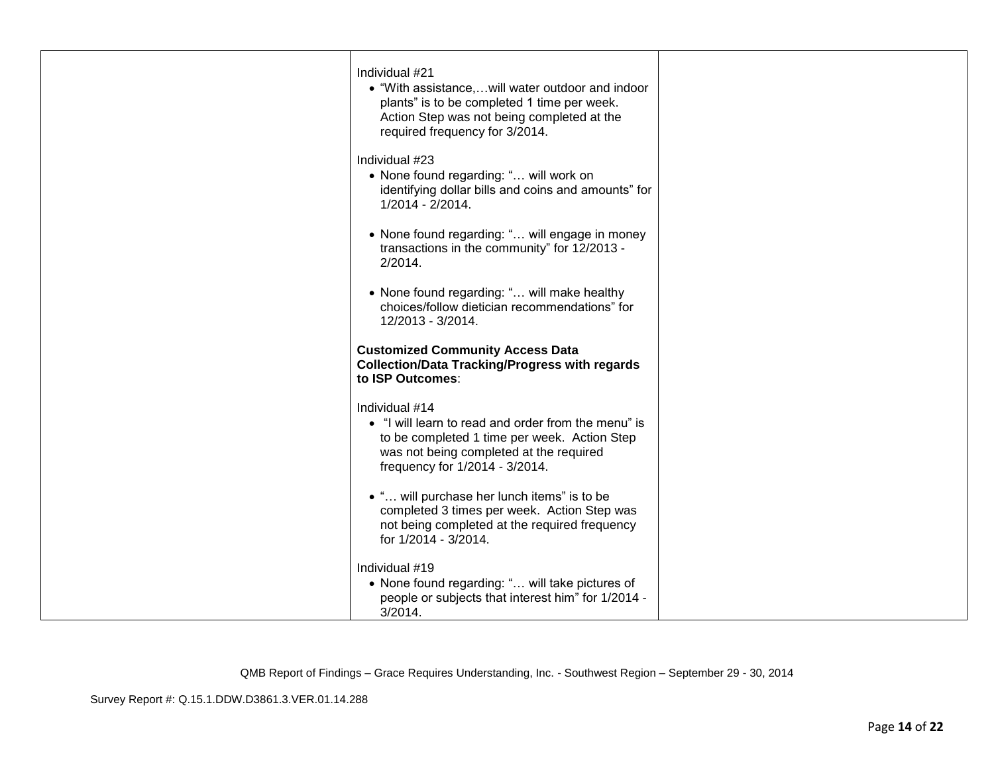| Individual #21<br>• "With assistance,will water outdoor and indoor<br>plants" is to be completed 1 time per week.<br>Action Step was not being completed at the<br>required frequency for 3/2014.  |  |
|----------------------------------------------------------------------------------------------------------------------------------------------------------------------------------------------------|--|
| Individual #23<br>• None found regarding: " will work on<br>identifying dollar bills and coins and amounts" for<br>1/2014 - 2/2014.                                                                |  |
| • None found regarding: " will engage in money<br>transactions in the community" for 12/2013 -<br>2/2014.                                                                                          |  |
| • None found regarding: " will make healthy<br>choices/follow dietician recommendations" for<br>12/2013 - 3/2014.                                                                                  |  |
| <b>Customized Community Access Data</b><br><b>Collection/Data Tracking/Progress with regards</b><br>to ISP Outcomes:                                                                               |  |
| Individual #14<br>• "I will learn to read and order from the menu" is<br>to be completed 1 time per week. Action Step<br>was not being completed at the required<br>frequency for 1/2014 - 3/2014. |  |
| • " will purchase her lunch items" is to be<br>completed 3 times per week. Action Step was<br>not being completed at the required frequency<br>for 1/2014 - 3/2014.                                |  |
| Individual #19<br>• None found regarding: " will take pictures of<br>people or subjects that interest him" for 1/2014 -<br>$3/2014$ .                                                              |  |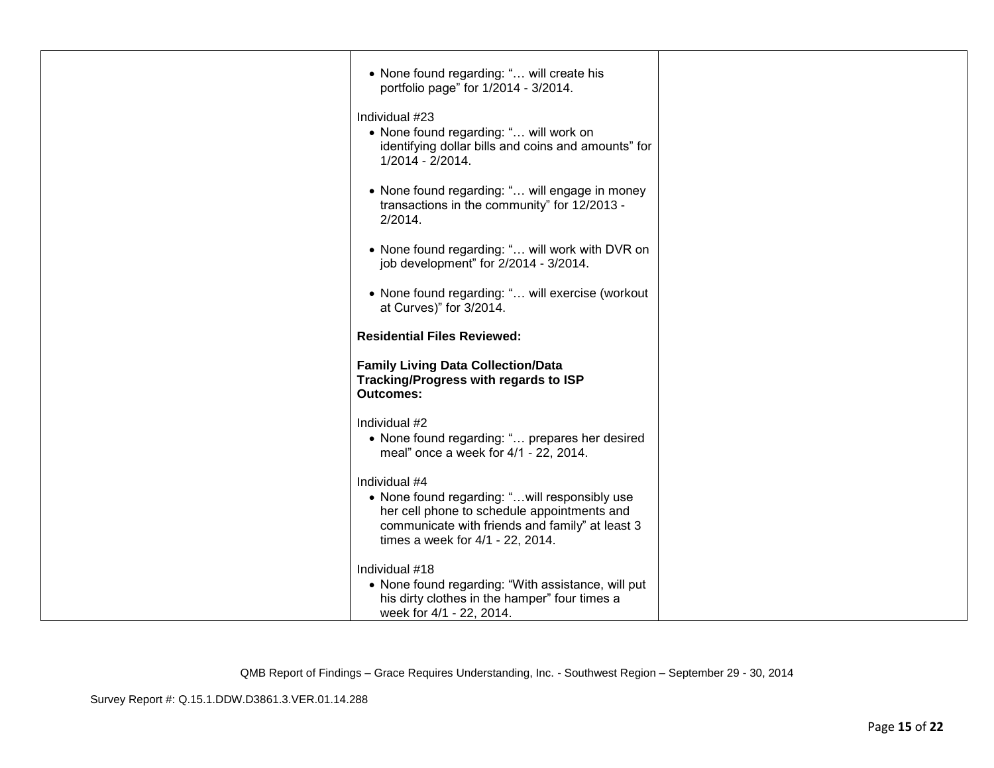| • None found regarding: " will create his<br>portfolio page" for 1/2014 - 3/2014.                                                                                                                    |  |
|------------------------------------------------------------------------------------------------------------------------------------------------------------------------------------------------------|--|
| Individual #23<br>• None found regarding: " will work on<br>identifying dollar bills and coins and amounts" for<br>1/2014 - 2/2014.                                                                  |  |
| • None found regarding: " will engage in money<br>transactions in the community" for 12/2013 -<br>2/2014.                                                                                            |  |
| • None found regarding: " will work with DVR on<br>job development" for 2/2014 - 3/2014.                                                                                                             |  |
| • None found regarding: " will exercise (workout<br>at Curves)" for 3/2014.                                                                                                                          |  |
| <b>Residential Files Reviewed:</b>                                                                                                                                                                   |  |
| <b>Family Living Data Collection/Data</b><br>Tracking/Progress with regards to ISP<br><b>Outcomes:</b>                                                                                               |  |
| Individual #2<br>• None found regarding: " prepares her desired<br>meal" once a week for 4/1 - 22, 2014.                                                                                             |  |
| Individual #4<br>• None found regarding: "will responsibly use<br>her cell phone to schedule appointments and<br>communicate with friends and family" at least 3<br>times a week for 4/1 - 22, 2014. |  |
| Individual #18<br>• None found regarding: "With assistance, will put<br>his dirty clothes in the hamper" four times a<br>week for 4/1 - 22, 2014.                                                    |  |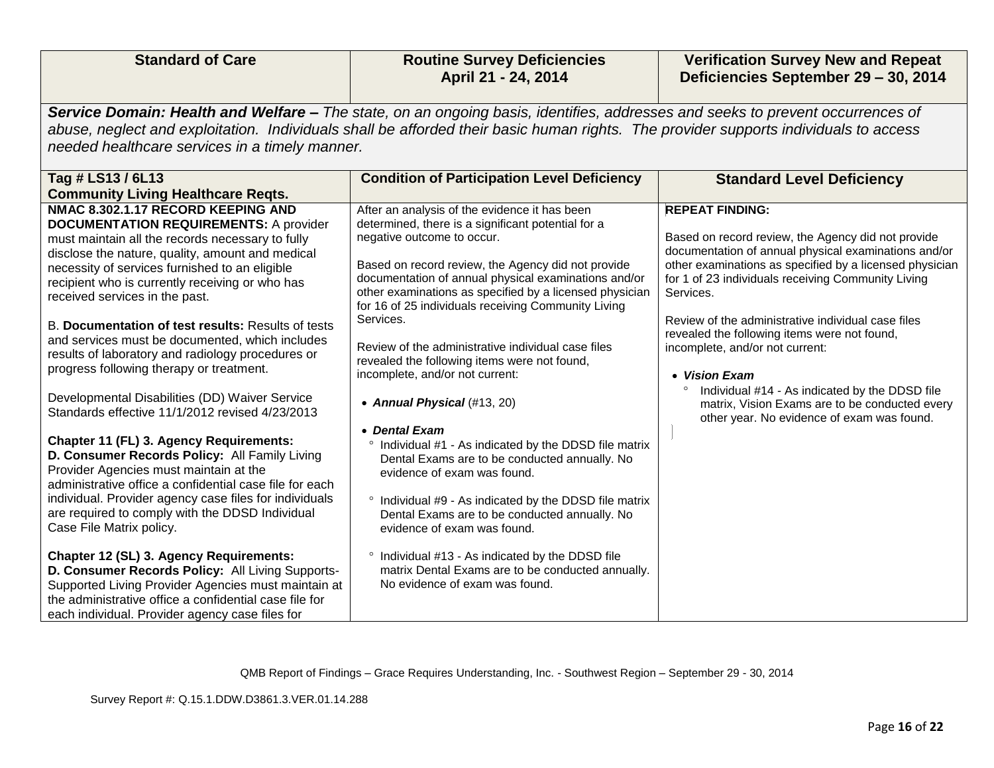| <b>Standard of Care</b>                                                                                                                                                                                                                                                                                                                                                                                                                                                                                                                                                                                                                                                                                                                                                                                                                                                                                                                                                                                                                                                                                                                                                                                                                                        | <b>Routine Survey Deficiencies</b><br>April 21 - 24, 2014                                                                                                                                                                                                                                                                                                                                                                                                                                                                                                                                                                                                                                                                                                                                                                                                                                                                                                                                              | <b>Verification Survey New and Repeat</b><br>Deficiencies September 29 - 30, 2014                                                                                                                                                                                                                                                                                                                                                                                                                                                                                                         |  |
|----------------------------------------------------------------------------------------------------------------------------------------------------------------------------------------------------------------------------------------------------------------------------------------------------------------------------------------------------------------------------------------------------------------------------------------------------------------------------------------------------------------------------------------------------------------------------------------------------------------------------------------------------------------------------------------------------------------------------------------------------------------------------------------------------------------------------------------------------------------------------------------------------------------------------------------------------------------------------------------------------------------------------------------------------------------------------------------------------------------------------------------------------------------------------------------------------------------------------------------------------------------|--------------------------------------------------------------------------------------------------------------------------------------------------------------------------------------------------------------------------------------------------------------------------------------------------------------------------------------------------------------------------------------------------------------------------------------------------------------------------------------------------------------------------------------------------------------------------------------------------------------------------------------------------------------------------------------------------------------------------------------------------------------------------------------------------------------------------------------------------------------------------------------------------------------------------------------------------------------------------------------------------------|-------------------------------------------------------------------------------------------------------------------------------------------------------------------------------------------------------------------------------------------------------------------------------------------------------------------------------------------------------------------------------------------------------------------------------------------------------------------------------------------------------------------------------------------------------------------------------------------|--|
| Service Domain: Health and Welfare - The state, on an ongoing basis, identifies, addresses and seeks to prevent occurrences of<br>abuse, neglect and exploitation. Individuals shall be afforded their basic human rights. The provider supports individuals to access<br>needed healthcare services in a timely manner.                                                                                                                                                                                                                                                                                                                                                                                                                                                                                                                                                                                                                                                                                                                                                                                                                                                                                                                                       |                                                                                                                                                                                                                                                                                                                                                                                                                                                                                                                                                                                                                                                                                                                                                                                                                                                                                                                                                                                                        |                                                                                                                                                                                                                                                                                                                                                                                                                                                                                                                                                                                           |  |
| Tag # LS13 / 6L13<br><b>Community Living Healthcare Reqts.</b>                                                                                                                                                                                                                                                                                                                                                                                                                                                                                                                                                                                                                                                                                                                                                                                                                                                                                                                                                                                                                                                                                                                                                                                                 | <b>Condition of Participation Level Deficiency</b>                                                                                                                                                                                                                                                                                                                                                                                                                                                                                                                                                                                                                                                                                                                                                                                                                                                                                                                                                     | <b>Standard Level Deficiency</b>                                                                                                                                                                                                                                                                                                                                                                                                                                                                                                                                                          |  |
| NMAC 8.302.1.17 RECORD KEEPING AND<br><b>DOCUMENTATION REQUIREMENTS: A provider</b><br>must maintain all the records necessary to fully<br>disclose the nature, quality, amount and medical<br>necessity of services furnished to an eligible<br>recipient who is currently receiving or who has<br>received services in the past.<br>B. Documentation of test results: Results of tests<br>and services must be documented, which includes<br>results of laboratory and radiology procedures or<br>progress following therapy or treatment.<br>Developmental Disabilities (DD) Waiver Service<br>Standards effective 11/1/2012 revised 4/23/2013<br>Chapter 11 (FL) 3. Agency Requirements:<br>D. Consumer Records Policy: All Family Living<br>Provider Agencies must maintain at the<br>administrative office a confidential case file for each<br>individual. Provider agency case files for individuals<br>are required to comply with the DDSD Individual<br>Case File Matrix policy.<br>Chapter 12 (SL) 3. Agency Requirements:<br>D. Consumer Records Policy: All Living Supports-<br>Supported Living Provider Agencies must maintain at<br>the administrative office a confidential case file for<br>each individual. Provider agency case files for | After an analysis of the evidence it has been<br>determined, there is a significant potential for a<br>negative outcome to occur.<br>Based on record review, the Agency did not provide<br>documentation of annual physical examinations and/or<br>other examinations as specified by a licensed physician<br>for 16 of 25 individuals receiving Community Living<br>Services.<br>Review of the administrative individual case files<br>revealed the following items were not found,<br>incomplete, and/or not current:<br>• Annual Physical (#13, 20)<br>• Dental Exam<br>° Individual #1 - As indicated by the DDSD file matrix<br>Dental Exams are to be conducted annually. No<br>evidence of exam was found.<br>° Individual #9 - As indicated by the DDSD file matrix<br>Dental Exams are to be conducted annually. No<br>evidence of exam was found.<br>° Individual #13 - As indicated by the DDSD file<br>matrix Dental Exams are to be conducted annually.<br>No evidence of exam was found. | <b>REPEAT FINDING:</b><br>Based on record review, the Agency did not provide<br>documentation of annual physical examinations and/or<br>other examinations as specified by a licensed physician<br>for 1 of 23 individuals receiving Community Living<br>Services.<br>Review of the administrative individual case files<br>revealed the following items were not found,<br>incomplete, and/or not current:<br>• Vision Exam<br>$\circ$<br>Individual #14 - As indicated by the DDSD file<br>matrix, Vision Exams are to be conducted every<br>other year. No evidence of exam was found. |  |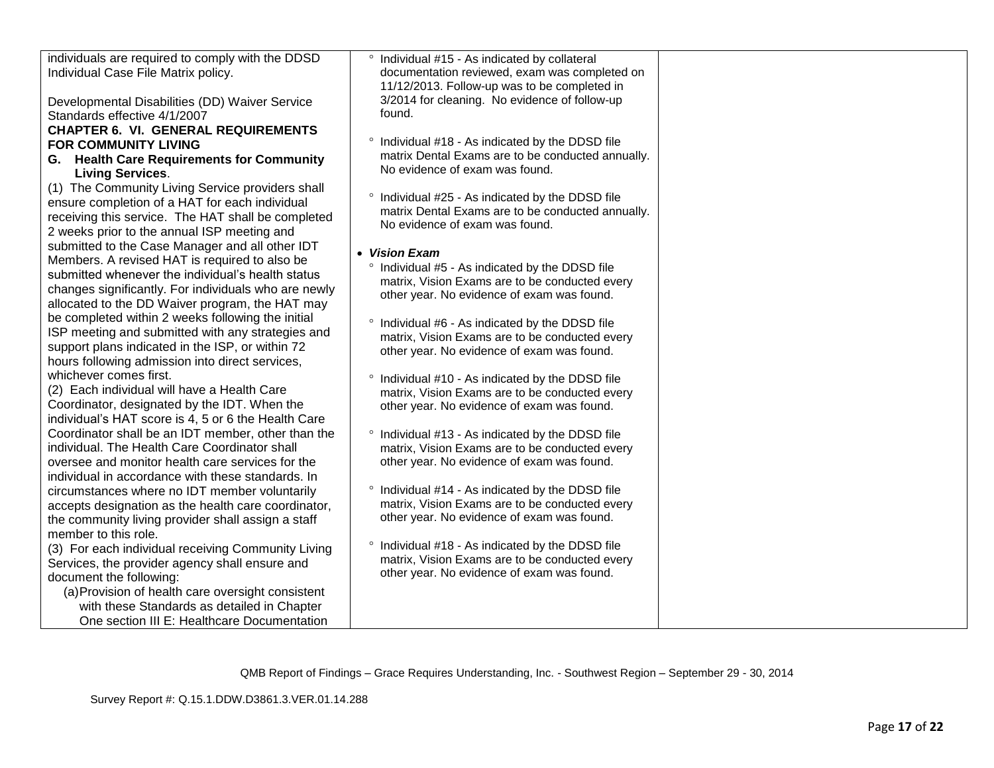| individuals are required to comply with the DDSD<br>Individual Case File Matrix policy.<br>Developmental Disabilities (DD) Waiver Service<br>Standards effective 4/1/2007<br><b>CHAPTER 6. VI. GENERAL REQUIREMENTS</b><br><b>FOR COMMUNITY LIVING</b><br>G. Health Care Requirements for Community<br><b>Living Services.</b><br>(1) The Community Living Service providers shall<br>ensure completion of a HAT for each individual<br>receiving this service. The HAT shall be completed<br>2 weeks prior to the annual ISP meeting and<br>submitted to the Case Manager and all other IDT<br>Members. A revised HAT is required to also be<br>submitted whenever the individual's health status<br>changes significantly. For individuals who are newly<br>allocated to the DD Waiver program, the HAT may<br>be completed within 2 weeks following the initial<br>ISP meeting and submitted with any strategies and<br>support plans indicated in the ISP, or within 72<br>hours following admission into direct services,<br>whichever comes first.<br>(2) Each individual will have a Health Care<br>Coordinator, designated by the IDT. When the<br>individual's HAT score is 4, 5 or 6 the Health Care<br>Coordinator shall be an IDT member, other than the<br>individual. The Health Care Coordinator shall<br>oversee and monitor health care services for the<br>individual in accordance with these standards. In<br>circumstances where no IDT member voluntarily<br>accepts designation as the health care coordinator, | ° Individual #15 - As indicated by collateral<br>documentation reviewed, exam was completed on<br>11/12/2013. Follow-up was to be completed in<br>3/2014 for cleaning. No evidence of follow-up<br>found.<br>° Individual #18 - As indicated by the DDSD file<br>matrix Dental Exams are to be conducted annually.<br>No evidence of exam was found.<br>° Individual #25 - As indicated by the DDSD file<br>matrix Dental Exams are to be conducted annually.<br>No evidence of exam was found.<br>• Vision Exam<br>° Individual #5 - As indicated by the DDSD file<br>matrix, Vision Exams are to be conducted every<br>other year. No evidence of exam was found.<br>° Individual #6 - As indicated by the DDSD file<br>matrix, Vision Exams are to be conducted every<br>other year. No evidence of exam was found.<br>° Individual #10 - As indicated by the DDSD file<br>matrix, Vision Exams are to be conducted every<br>other year. No evidence of exam was found.<br>° Individual #13 - As indicated by the DDSD file<br>matrix, Vision Exams are to be conducted every<br>other year. No evidence of exam was found.<br>° Individual #14 - As indicated by the DDSD file<br>matrix, Vision Exams are to be conducted every |  |
|----------------------------------------------------------------------------------------------------------------------------------------------------------------------------------------------------------------------------------------------------------------------------------------------------------------------------------------------------------------------------------------------------------------------------------------------------------------------------------------------------------------------------------------------------------------------------------------------------------------------------------------------------------------------------------------------------------------------------------------------------------------------------------------------------------------------------------------------------------------------------------------------------------------------------------------------------------------------------------------------------------------------------------------------------------------------------------------------------------------------------------------------------------------------------------------------------------------------------------------------------------------------------------------------------------------------------------------------------------------------------------------------------------------------------------------------------------------------------------------------------------------------------------------|--------------------------------------------------------------------------------------------------------------------------------------------------------------------------------------------------------------------------------------------------------------------------------------------------------------------------------------------------------------------------------------------------------------------------------------------------------------------------------------------------------------------------------------------------------------------------------------------------------------------------------------------------------------------------------------------------------------------------------------------------------------------------------------------------------------------------------------------------------------------------------------------------------------------------------------------------------------------------------------------------------------------------------------------------------------------------------------------------------------------------------------------------------------------------------------------------------------------------------------|--|
| the community living provider shall assign a staff                                                                                                                                                                                                                                                                                                                                                                                                                                                                                                                                                                                                                                                                                                                                                                                                                                                                                                                                                                                                                                                                                                                                                                                                                                                                                                                                                                                                                                                                                     | other year. No evidence of exam was found.                                                                                                                                                                                                                                                                                                                                                                                                                                                                                                                                                                                                                                                                                                                                                                                                                                                                                                                                                                                                                                                                                                                                                                                           |  |
| member to this role.<br>(3) For each individual receiving Community Living<br>Services, the provider agency shall ensure and<br>document the following:<br>(a) Provision of health care oversight consistent<br>with these Standards as detailed in Chapter<br>One section III E: Healthcare Documentation                                                                                                                                                                                                                                                                                                                                                                                                                                                                                                                                                                                                                                                                                                                                                                                                                                                                                                                                                                                                                                                                                                                                                                                                                             | ° Individual #18 - As indicated by the DDSD file<br>matrix, Vision Exams are to be conducted every<br>other year. No evidence of exam was found.                                                                                                                                                                                                                                                                                                                                                                                                                                                                                                                                                                                                                                                                                                                                                                                                                                                                                                                                                                                                                                                                                     |  |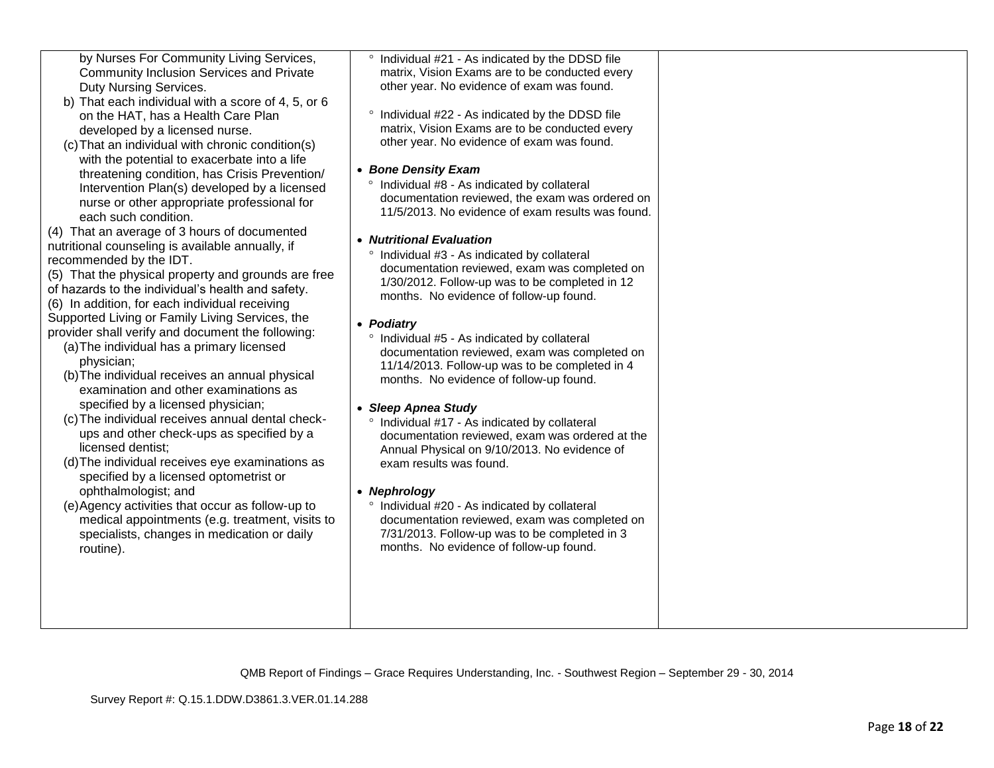| by Nurses For Community Living Services,<br><b>Community Inclusion Services and Private</b><br>Duty Nursing Services.<br>b) That each individual with a score of 4, 5, or 6<br>on the HAT, has a Health Care Plan<br>developed by a licensed nurse.<br>(c) That an individual with chronic condition(s)<br>with the potential to exacerbate into a life<br>threatening condition, has Crisis Prevention/<br>Intervention Plan(s) developed by a licensed<br>nurse or other appropriate professional for<br>each such condition.<br>(4) That an average of 3 hours of documented<br>nutritional counseling is available annually, if<br>recommended by the IDT.<br>(5) That the physical property and grounds are free<br>of hazards to the individual's health and safety.<br>(6) In addition, for each individual receiving<br>Supported Living or Family Living Services, the<br>provider shall verify and document the following:<br>(a) The individual has a primary licensed<br>physician;<br>(b) The individual receives an annual physical<br>examination and other examinations as<br>specified by a licensed physician;<br>(c) The individual receives annual dental check-<br>ups and other check-ups as specified by a<br>licensed dentist;<br>(d) The individual receives eye examinations as<br>specified by a licensed optometrist or<br>ophthalmologist; and<br>(e)Agency activities that occur as follow-up to<br>medical appointments (e.g. treatment, visits to<br>specialists, changes in medication or daily<br>routine). | ° Individual #21 - As indicated by the DDSD file<br>matrix, Vision Exams are to be conducted every<br>other year. No evidence of exam was found.<br>° Individual #22 - As indicated by the DDSD file<br>matrix, Vision Exams are to be conducted every<br>other year. No evidence of exam was found.<br>• Bone Density Exam<br>° Individual #8 - As indicated by collateral<br>documentation reviewed, the exam was ordered on<br>11/5/2013. No evidence of exam results was found.<br>• Nutritional Evaluation<br>° Individual #3 - As indicated by collateral<br>documentation reviewed, exam was completed on<br>1/30/2012. Follow-up was to be completed in 12<br>months. No evidence of follow-up found.<br>• Podiatry<br>° Individual #5 - As indicated by collateral<br>documentation reviewed, exam was completed on<br>11/14/2013. Follow-up was to be completed in 4<br>months. No evidence of follow-up found.<br>• Sleep Apnea Study<br>° Individual #17 - As indicated by collateral<br>documentation reviewed, exam was ordered at the<br>Annual Physical on 9/10/2013. No evidence of<br>exam results was found.<br>• Nephrology<br>° Individual #20 - As indicated by collateral<br>documentation reviewed, exam was completed on<br>7/31/2013. Follow-up was to be completed in 3<br>months. No evidence of follow-up found. |  |
|-----------------------------------------------------------------------------------------------------------------------------------------------------------------------------------------------------------------------------------------------------------------------------------------------------------------------------------------------------------------------------------------------------------------------------------------------------------------------------------------------------------------------------------------------------------------------------------------------------------------------------------------------------------------------------------------------------------------------------------------------------------------------------------------------------------------------------------------------------------------------------------------------------------------------------------------------------------------------------------------------------------------------------------------------------------------------------------------------------------------------------------------------------------------------------------------------------------------------------------------------------------------------------------------------------------------------------------------------------------------------------------------------------------------------------------------------------------------------------------------------------------------------------------------------|-----------------------------------------------------------------------------------------------------------------------------------------------------------------------------------------------------------------------------------------------------------------------------------------------------------------------------------------------------------------------------------------------------------------------------------------------------------------------------------------------------------------------------------------------------------------------------------------------------------------------------------------------------------------------------------------------------------------------------------------------------------------------------------------------------------------------------------------------------------------------------------------------------------------------------------------------------------------------------------------------------------------------------------------------------------------------------------------------------------------------------------------------------------------------------------------------------------------------------------------------------------------------------------------------------------------------------------------------|--|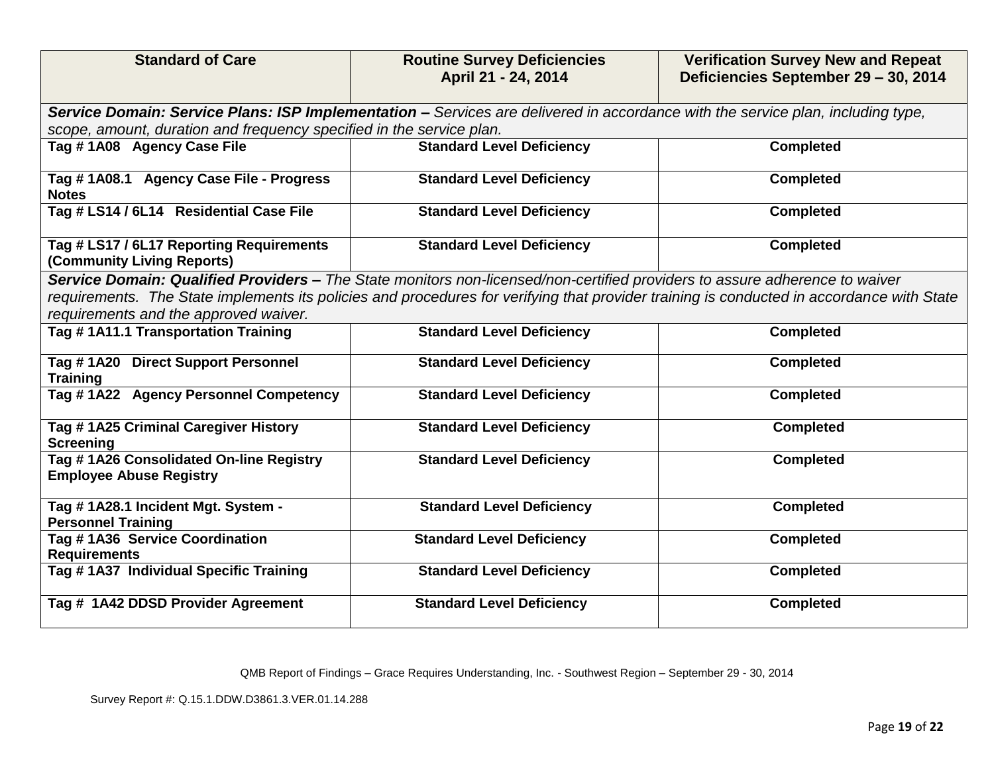| <b>Standard of Care</b>                                                                                                                                                                                                                                                                                           | <b>Routine Survey Deficiencies</b><br>April 21 - 24, 2014 | <b>Verification Survey New and Repeat</b><br>Deficiencies September 29 - 30, 2014 |  |
|-------------------------------------------------------------------------------------------------------------------------------------------------------------------------------------------------------------------------------------------------------------------------------------------------------------------|-----------------------------------------------------------|-----------------------------------------------------------------------------------|--|
| Service Domain: Service Plans: ISP Implementation - Services are delivered in accordance with the service plan, including type,                                                                                                                                                                                   |                                                           |                                                                                   |  |
| scope, amount, duration and frequency specified in the service plan.                                                                                                                                                                                                                                              |                                                           |                                                                                   |  |
| Tag #1A08 Agency Case File                                                                                                                                                                                                                                                                                        | <b>Standard Level Deficiency</b>                          | <b>Completed</b>                                                                  |  |
| Tag # 1A08.1 Agency Case File - Progress<br><b>Notes</b>                                                                                                                                                                                                                                                          | <b>Standard Level Deficiency</b>                          | <b>Completed</b>                                                                  |  |
| Tag # LS14 / 6L14 Residential Case File                                                                                                                                                                                                                                                                           | <b>Standard Level Deficiency</b>                          | <b>Completed</b>                                                                  |  |
| Tag # LS17 / 6L17 Reporting Requirements<br>(Community Living Reports)                                                                                                                                                                                                                                            | <b>Standard Level Deficiency</b>                          | <b>Completed</b>                                                                  |  |
| Service Domain: Qualified Providers - The State monitors non-licensed/non-certified providers to assure adherence to waiver<br>requirements. The State implements its policies and procedures for verifying that provider training is conducted in accordance with State<br>requirements and the approved waiver. |                                                           |                                                                                   |  |
| Tag #1A11.1 Transportation Training                                                                                                                                                                                                                                                                               | <b>Standard Level Deficiency</b>                          | <b>Completed</b>                                                                  |  |
| Tag # 1A20 Direct Support Personnel<br><b>Training</b>                                                                                                                                                                                                                                                            | <b>Standard Level Deficiency</b>                          | <b>Completed</b>                                                                  |  |
| Tag #1A22 Agency Personnel Competency                                                                                                                                                                                                                                                                             | <b>Standard Level Deficiency</b>                          | <b>Completed</b>                                                                  |  |
| Tag #1A25 Criminal Caregiver History<br><b>Screening</b>                                                                                                                                                                                                                                                          | <b>Standard Level Deficiency</b>                          | <b>Completed</b>                                                                  |  |
| Tag #1A26 Consolidated On-line Registry<br><b>Employee Abuse Registry</b>                                                                                                                                                                                                                                         | <b>Standard Level Deficiency</b>                          | <b>Completed</b>                                                                  |  |
| Tag #1A28.1 Incident Mgt. System -<br><b>Personnel Training</b>                                                                                                                                                                                                                                                   | <b>Standard Level Deficiency</b>                          | <b>Completed</b>                                                                  |  |
| Tag #1A36 Service Coordination<br><b>Requirements</b>                                                                                                                                                                                                                                                             | <b>Standard Level Deficiency</b>                          | <b>Completed</b>                                                                  |  |
| Tag # 1A37 Individual Specific Training                                                                                                                                                                                                                                                                           | <b>Standard Level Deficiency</b>                          | <b>Completed</b>                                                                  |  |
| Tag # 1A42 DDSD Provider Agreement                                                                                                                                                                                                                                                                                | <b>Standard Level Deficiency</b>                          | <b>Completed</b>                                                                  |  |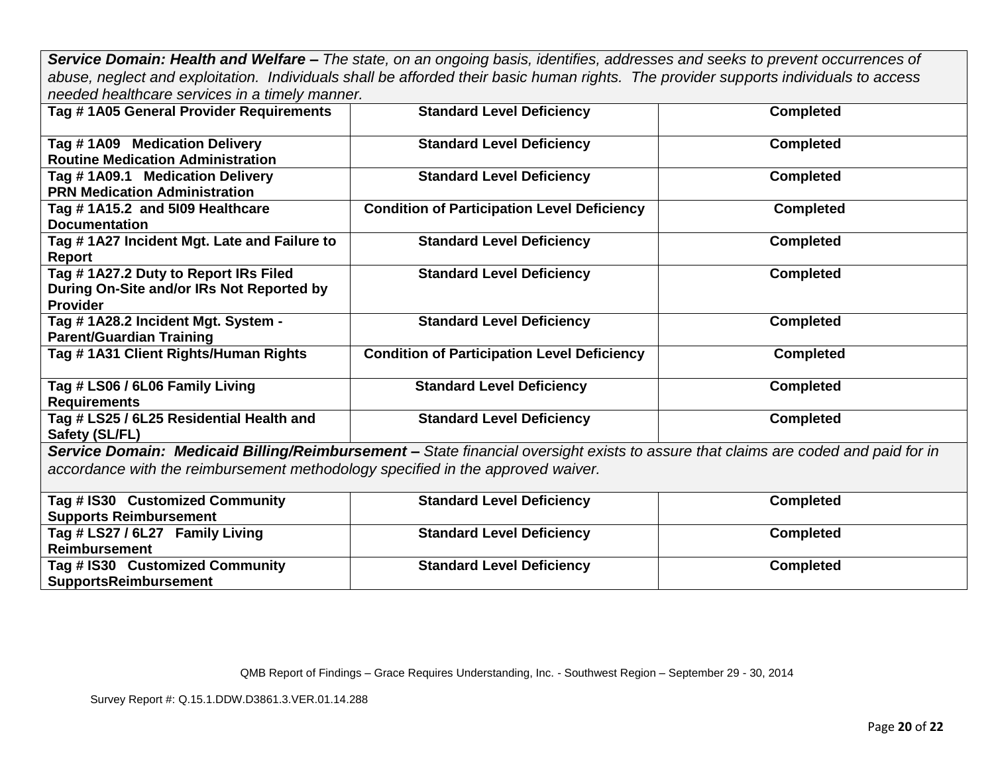*Service Domain: Health and Welfare – The state, on an ongoing basis, identifies, addresses and seeks to prevent occurrences of abuse, neglect and exploitation. Individuals shall be afforded their basic human rights. The provider supports individuals to access needed healthcare services in a timely manner.*

| Tag # 1A05 General Provider Requirements                                        | <b>Standard Level Deficiency</b>                                                                                                  | <b>Completed</b> |
|---------------------------------------------------------------------------------|-----------------------------------------------------------------------------------------------------------------------------------|------------------|
| Tag #1A09 Medication Delivery                                                   | <b>Standard Level Deficiency</b>                                                                                                  | <b>Completed</b> |
| <b>Routine Medication Administration</b>                                        |                                                                                                                                   |                  |
| Tag #1A09.1 Medication Delivery                                                 | <b>Standard Level Deficiency</b>                                                                                                  | <b>Completed</b> |
| <b>PRN Medication Administration</b>                                            |                                                                                                                                   |                  |
| Tag #1A15.2 and 5109 Healthcare                                                 | <b>Condition of Participation Level Deficiency</b>                                                                                | <b>Completed</b> |
| <b>Documentation</b>                                                            |                                                                                                                                   |                  |
| Tag # 1A27 Incident Mgt. Late and Failure to                                    | <b>Standard Level Deficiency</b>                                                                                                  | <b>Completed</b> |
| Report                                                                          |                                                                                                                                   |                  |
| Tag #1A27.2 Duty to Report IRs Filed                                            | <b>Standard Level Deficiency</b>                                                                                                  | <b>Completed</b> |
| During On-Site and/or IRs Not Reported by                                       |                                                                                                                                   |                  |
| <b>Provider</b>                                                                 |                                                                                                                                   |                  |
| Tag #1A28.2 Incident Mgt. System -                                              | <b>Standard Level Deficiency</b>                                                                                                  | <b>Completed</b> |
| <b>Parent/Guardian Training</b>                                                 |                                                                                                                                   |                  |
| Tag #1A31 Client Rights/Human Rights                                            | <b>Condition of Participation Level Deficiency</b>                                                                                | <b>Completed</b> |
|                                                                                 |                                                                                                                                   |                  |
| Tag # LS06 / 6L06 Family Living                                                 | <b>Standard Level Deficiency</b>                                                                                                  | <b>Completed</b> |
| <b>Requirements</b>                                                             |                                                                                                                                   |                  |
| Tag # LS25 / 6L25 Residential Health and                                        | <b>Standard Level Deficiency</b>                                                                                                  | <b>Completed</b> |
| Safety (SL/FL)                                                                  |                                                                                                                                   |                  |
|                                                                                 | Service Domain: Medicaid Billing/Reimbursement - State financial oversight exists to assure that claims are coded and paid for in |                  |
| accordance with the reimbursement methodology specified in the approved waiver. |                                                                                                                                   |                  |
|                                                                                 |                                                                                                                                   |                  |
| Tag # IS30 Customized Community                                                 | <b>Standard Level Deficiency</b>                                                                                                  | <b>Completed</b> |
| <b>Supports Reimbursement</b>                                                   |                                                                                                                                   |                  |
| Tag # LS27 / 6L27 Family Living                                                 | <b>Standard Level Deficiency</b>                                                                                                  | <b>Completed</b> |
| <b>Reimbursement</b>                                                            |                                                                                                                                   |                  |
| Tag # IS30 Customized Community                                                 | <b>Standard Level Deficiency</b>                                                                                                  | <b>Completed</b> |
| <b>SupportsReimbursement</b>                                                    |                                                                                                                                   |                  |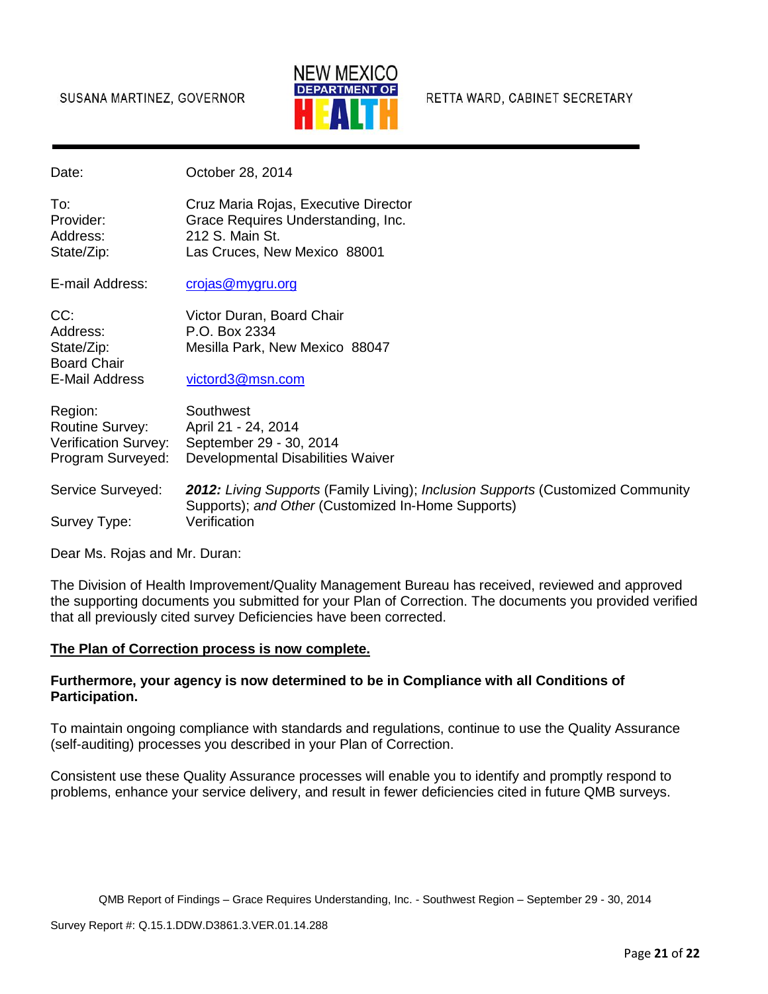

RETTA WARD, CABINET SECRETARY

Date: **Date:** October 28, 2014

To: Cruz Maria Rojas, Executive Director Provider: Grace Requires Understanding, Inc. Address: 212 S. Main St. State/Zip: Las Cruces, New Mexico 88001

E-mail Address: [crojas@mygru.org](mailto:crojas@mygru.org)

CC: Victor Duran, Board Chair<br>Address: P.O. Box 2334 P.O. Box 2334 State/Zip: Mesilla Park, New Mexico 88047 Board Chair E-Mail Address [victord3@msn.com](mailto:victord3@msn.com)

| Region:                | Southwest                         |
|------------------------|-----------------------------------|
| <b>Routine Survey:</b> | April 21 - 24, 2014               |
| Verification Survey:   | September 29 - 30, 2014           |
| Program Surveyed:      | Developmental Disabilities Waiver |
|                        |                                   |

Service Surveyed: *2012: Living Supports* (Family Living); *Inclusion Supports* (Customized Community Supports); *and Other* (Customized In-Home Supports) Survey Type: Verification

Dear Ms. Rojas and Mr. Duran:

The Division of Health Improvement/Quality Management Bureau has received, reviewed and approved the supporting documents you submitted for your Plan of Correction. The documents you provided verified that all previously cited survey Deficiencies have been corrected.

### **The Plan of Correction process is now complete.**

## **Furthermore, your agency is now determined to be in Compliance with all Conditions of Participation.**

To maintain ongoing compliance with standards and regulations, continue to use the Quality Assurance (self-auditing) processes you described in your Plan of Correction.

Consistent use these Quality Assurance processes will enable you to identify and promptly respond to problems, enhance your service delivery, and result in fewer deficiencies cited in future QMB surveys.